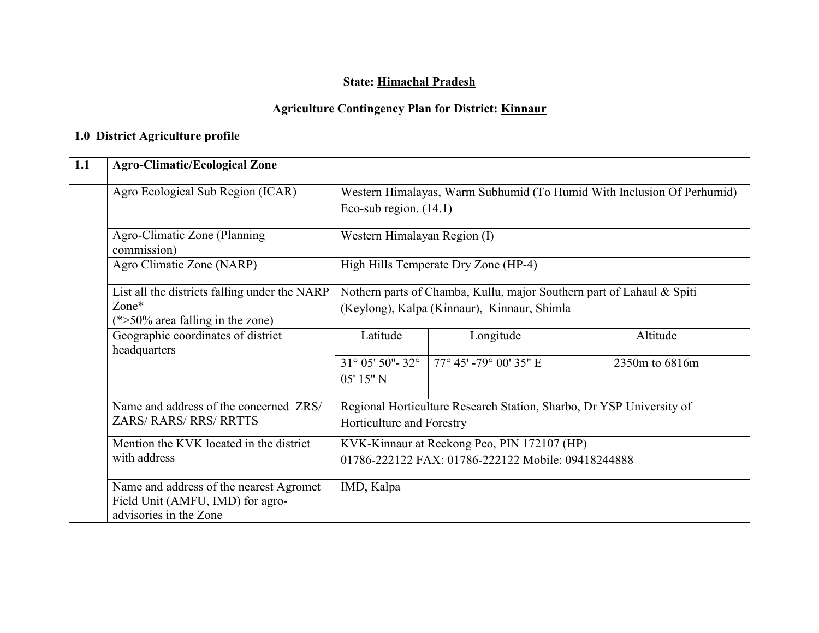# State: Himachal Pradesh

# Agriculture Contingency Plan for District: Kinnaur

|     | 1.0 District Agriculture profile                                                                      |                                                                                                                      |                                                                                                    |                |  |  |  |
|-----|-------------------------------------------------------------------------------------------------------|----------------------------------------------------------------------------------------------------------------------|----------------------------------------------------------------------------------------------------|----------------|--|--|--|
| 1.1 | <b>Agro-Climatic/Ecological Zone</b>                                                                  |                                                                                                                      |                                                                                                    |                |  |  |  |
|     | Agro Ecological Sub Region (ICAR)                                                                     |                                                                                                                      | Western Himalayas, Warm Subhumid (To Humid With Inclusion Of Perhumid)<br>Eco-sub region. $(14.1)$ |                |  |  |  |
|     | Agro-Climatic Zone (Planning)<br>commission)                                                          | Western Himalayan Region (I)                                                                                         |                                                                                                    |                |  |  |  |
|     | Agro Climatic Zone (NARP)                                                                             |                                                                                                                      | High Hills Temperate Dry Zone (HP-4)                                                               |                |  |  |  |
|     | List all the districts falling under the NARP<br>Zone*<br>$(*>50\%$ area falling in the zone)         | Nothern parts of Chamba, Kullu, major Southern part of Lahaul & Spiti<br>(Keylong), Kalpa (Kinnaur), Kinnaur, Shimla |                                                                                                    |                |  |  |  |
|     | Geographic coordinates of district<br>headquarters                                                    | Latitude                                                                                                             | Longitude                                                                                          | Altitude       |  |  |  |
|     |                                                                                                       | $31^{\circ}$ 05' 50"- 32 $^{\circ}$<br>05' 15" N                                                                     | 77° 45' -79° 00' 35" E                                                                             | 2350m to 6816m |  |  |  |
|     | Name and address of the concerned ZRS/<br><b>ZARS/ RARS/ RRS/ RRTTS</b>                               | Regional Horticulture Research Station, Sharbo, Dr YSP University of<br>Horticulture and Forestry                    |                                                                                                    |                |  |  |  |
|     | Mention the KVK located in the district<br>with address                                               | KVK-Kinnaur at Reckong Peo, PIN 172107 (HP)<br>01786-222122 FAX: 01786-222122 Mobile: 09418244888                    |                                                                                                    |                |  |  |  |
|     | Name and address of the nearest Agromet<br>Field Unit (AMFU, IMD) for agro-<br>advisories in the Zone |                                                                                                                      |                                                                                                    |                |  |  |  |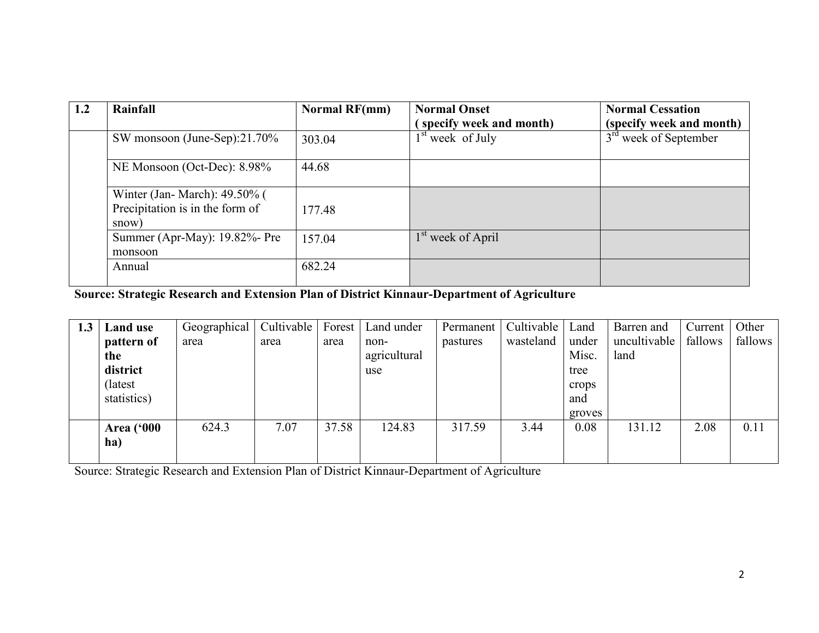| 1.2 | Rainfall                                                                 | <b>Normal RF(mm)</b> | <b>Normal Onset</b>           | <b>Normal Cessation</b>  |
|-----|--------------------------------------------------------------------------|----------------------|-------------------------------|--------------------------|
|     |                                                                          |                      | specify week and month)       | (specify week and month) |
|     | SW monsoon (June-Sep):21.70%                                             | 303.04               | $1st$ week of July            | $3rd$ week of September  |
|     | NE Monsoon (Oct-Dec): 8.98%                                              | 44.68                |                               |                          |
|     | Winter (Jan-March): 49.50% (<br>Precipitation is in the form of<br>snow) | 177.48               |                               |                          |
|     | Summer (Apr-May): 19.82%- Pre<br>monsoon                                 | 157.04               | 1 <sup>st</sup> week of April |                          |
|     | Annual                                                                   | 682.24               |                               |                          |

Source: Strategic Research and Extension Plan of District Kinnaur-Department of Agriculture

| 1.3 | Land use          | Geographical | Cultivable | Forest | Land under   | Permanent | Cultivable | Land   | Barren and   | Current | Other   |
|-----|-------------------|--------------|------------|--------|--------------|-----------|------------|--------|--------------|---------|---------|
|     | pattern of        | area         | area       | area   | non-         | pastures  | wasteland  | under  | uncultivable | fallows | fallows |
|     | the               |              |            |        | agricultural |           |            | Misc.  | land         |         |         |
|     | district          |              |            |        | use          |           |            | tree   |              |         |         |
|     | (latest)          |              |            |        |              |           |            | crops  |              |         |         |
|     | statistics)       |              |            |        |              |           |            | and    |              |         |         |
|     |                   |              |            |        |              |           |            | groves |              |         |         |
|     | <b>Area</b> ('000 | 624.3        | 7.07       | 37.58  | 124.83       | 317.59    | 3.44       | 0.08   | 131.12       | 2.08    | 0.11    |
|     | ha)               |              |            |        |              |           |            |        |              |         |         |
|     |                   |              |            |        |              |           |            |        |              |         |         |

Source: Strategic Research and Extension Plan of District Kinnaur-Department of Agriculture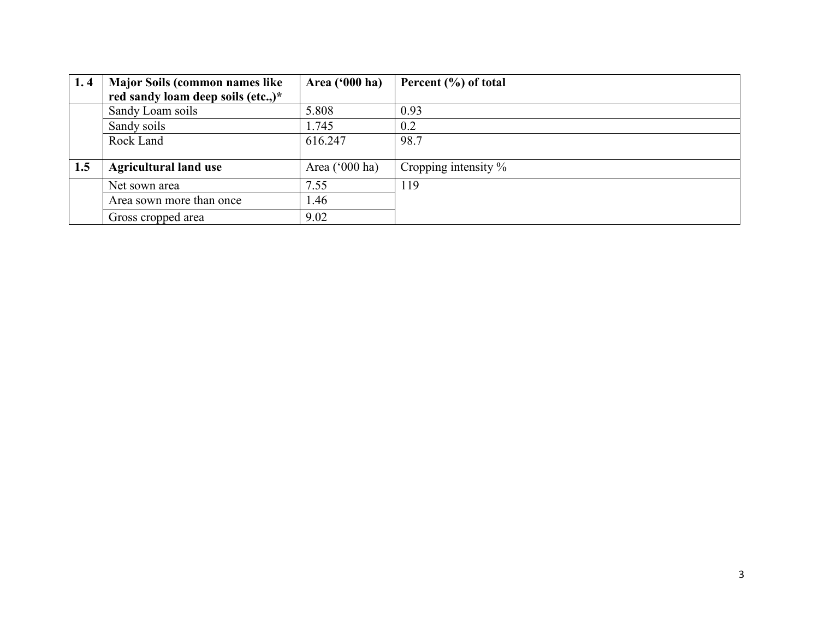| 1.4 | <b>Major Soils (common names like</b> | <b>Area ('000 ha)</b> | Percent $(\% )$ of total |
|-----|---------------------------------------|-----------------------|--------------------------|
|     | red sandy loam deep soils (etc.,)*    |                       |                          |
|     | Sandy Loam soils                      | 5.808                 | 0.93                     |
|     | Sandy soils                           | 1.745                 | 0.2                      |
|     | Rock Land                             | 616.247               | 98.7                     |
|     |                                       |                       |                          |
| 1.5 | <b>Agricultural land use</b>          | Area $('000 ha)$      | Cropping intensity $\%$  |
|     | Net sown area                         | 7.55                  | 119                      |
|     | Area sown more than once              | .46                   |                          |
|     | Gross cropped area                    | 9.02                  |                          |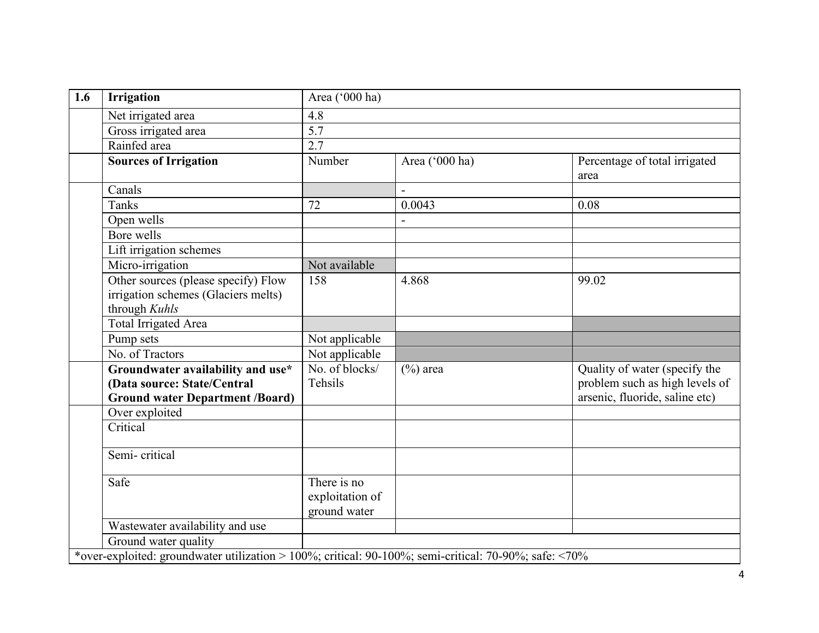| 1.6 | <b>Irrigation</b>                                                                                          | Area ('000 ha)                                 |                |                                                                                                   |  |  |  |
|-----|------------------------------------------------------------------------------------------------------------|------------------------------------------------|----------------|---------------------------------------------------------------------------------------------------|--|--|--|
|     | Net irrigated area                                                                                         | 4.8                                            |                |                                                                                                   |  |  |  |
|     | Gross irrigated area                                                                                       | 5.7                                            |                |                                                                                                   |  |  |  |
|     | Rainfed area                                                                                               | 2.7                                            |                |                                                                                                   |  |  |  |
|     | <b>Sources of Irrigation</b>                                                                               | Number                                         | Area ('000 ha) | Percentage of total irrigated<br>area                                                             |  |  |  |
|     | Canals                                                                                                     |                                                |                |                                                                                                   |  |  |  |
|     | <b>Tanks</b>                                                                                               | 72                                             | 0.0043         | 0.08                                                                                              |  |  |  |
|     | Open wells                                                                                                 |                                                |                |                                                                                                   |  |  |  |
|     | Bore wells                                                                                                 |                                                |                |                                                                                                   |  |  |  |
|     | Lift irrigation schemes                                                                                    |                                                |                |                                                                                                   |  |  |  |
|     | Micro-irrigation                                                                                           | Not available                                  |                |                                                                                                   |  |  |  |
|     | Other sources (please specify) Flow<br>irrigation schemes (Glaciers melts)<br>through Kuhls                | 158                                            | 4.868          | 99.02                                                                                             |  |  |  |
|     | Total Irrigated Area                                                                                       |                                                |                |                                                                                                   |  |  |  |
|     | Pump sets                                                                                                  | Not applicable                                 |                |                                                                                                   |  |  |  |
|     | No. of Tractors                                                                                            | Not applicable                                 |                |                                                                                                   |  |  |  |
|     | Groundwater availability and use*<br>(Data source: State/Central<br><b>Ground water Department /Board)</b> | No. of blocks/<br>Tehsils                      | $(\%)$ area    | Quality of water (specify the<br>problem such as high levels of<br>arsenic, fluoride, saline etc) |  |  |  |
|     | Over exploited                                                                                             |                                                |                |                                                                                                   |  |  |  |
|     | Critical                                                                                                   |                                                |                |                                                                                                   |  |  |  |
|     | Semi-critical                                                                                              |                                                |                |                                                                                                   |  |  |  |
|     | Safe                                                                                                       | There is no<br>exploitation of<br>ground water |                |                                                                                                   |  |  |  |
|     | Wastewater availability and use                                                                            |                                                |                |                                                                                                   |  |  |  |
|     | Ground water quality                                                                                       |                                                |                |                                                                                                   |  |  |  |
|     | *over-exploited: groundwater utilization > 100%; critical: 90-100%; semi-critical: 70-90%; safe: <70%      |                                                |                |                                                                                                   |  |  |  |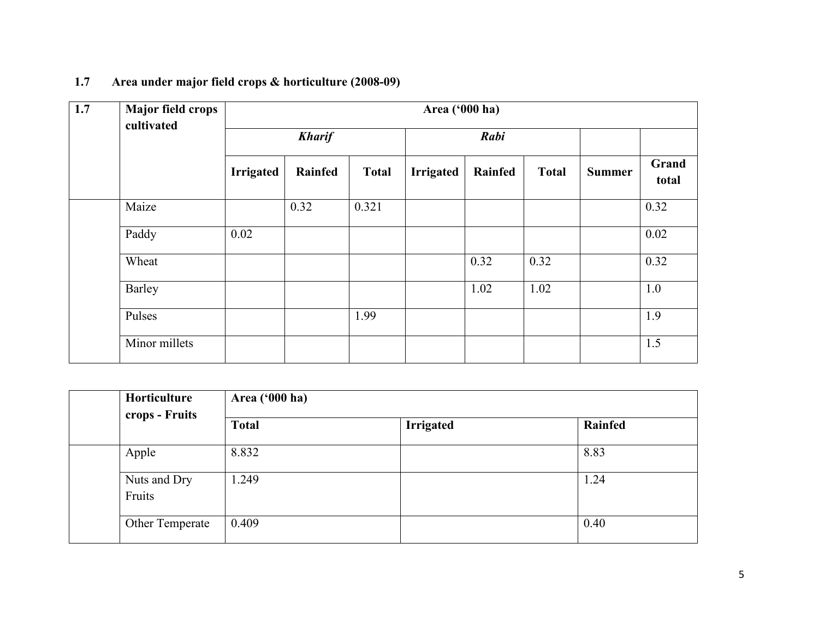| 1.7 | Major field crops |                  | Area ('000 ha) |              |                  |         |              |               |                |  |
|-----|-------------------|------------------|----------------|--------------|------------------|---------|--------------|---------------|----------------|--|
|     | cultivated        | <b>Kharif</b>    |                |              | Rabi             |         |              |               |                |  |
|     |                   | <b>Irrigated</b> | Rainfed        | <b>Total</b> | <b>Irrigated</b> | Rainfed | <b>Total</b> | <b>Summer</b> | Grand<br>total |  |
|     | Maize             |                  | 0.32           | 0.321        |                  |         |              |               | 0.32           |  |
|     | Paddy             | 0.02             |                |              |                  |         |              |               | 0.02           |  |
|     | Wheat             |                  |                |              |                  | 0.32    | 0.32         |               | 0.32           |  |
|     | Barley            |                  |                |              |                  | 1.02    | 1.02         |               | 1.0            |  |
|     | Pulses            |                  |                | 1.99         |                  |         |              |               | 1.9            |  |
|     | Minor millets     |                  |                |              |                  |         |              |               | 1.5            |  |

## 1.7 Area under major field crops & horticulture (2008-09)

|  | Horticulture<br>crops - Fruits | Area ('000 ha) |                  |         |  |  |  |
|--|--------------------------------|----------------|------------------|---------|--|--|--|
|  |                                | <b>Total</b>   | <b>Irrigated</b> | Rainfed |  |  |  |
|  | Apple                          | 8.832          |                  | 8.83    |  |  |  |
|  | Nuts and Dry<br>Fruits         | 1.249          |                  | 1.24    |  |  |  |
|  | Other Temperate                | 0.409          |                  | 0.40    |  |  |  |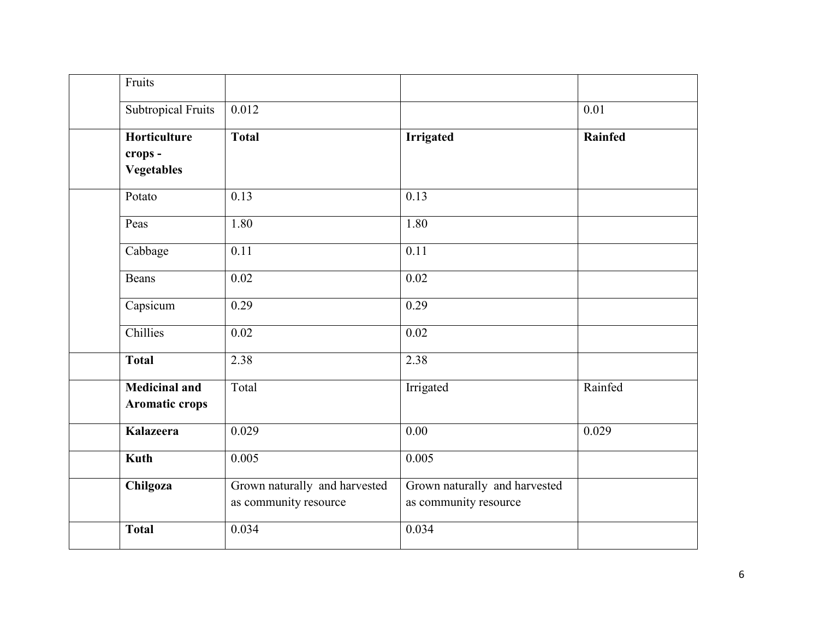| Fruits                                        |                                                        |                                                        |                |
|-----------------------------------------------|--------------------------------------------------------|--------------------------------------------------------|----------------|
| <b>Subtropical Fruits</b>                     | 0.012                                                  |                                                        | 0.01           |
| Horticulture                                  | <b>Total</b>                                           | <b>Irrigated</b>                                       | <b>Rainfed</b> |
| crops -<br><b>Vegetables</b>                  |                                                        |                                                        |                |
| Potato                                        | 0.13                                                   | 0.13                                                   |                |
| Peas                                          | 1.80                                                   | 1.80                                                   |                |
| Cabbage                                       | 0.11                                                   | $\overline{0.11}$                                      |                |
| <b>Beans</b>                                  | 0.02                                                   | 0.02                                                   |                |
| Capsicum                                      | 0.29                                                   | 0.29                                                   |                |
| Chillies                                      | 0.02                                                   | 0.02                                                   |                |
| <b>Total</b>                                  | 2.38                                                   | 2.38                                                   |                |
| <b>Medicinal and</b><br><b>Aromatic crops</b> | Total                                                  | Irrigated                                              | Rainfed        |
| <b>Kalazeera</b>                              | 0.029                                                  | 0.00                                                   | 0.029          |
| <b>Kuth</b>                                   | 0.005                                                  | 0.005                                                  |                |
| Chilgoza                                      | Grown naturally and harvested<br>as community resource | Grown naturally and harvested<br>as community resource |                |
| <b>Total</b>                                  | 0.034                                                  | 0.034                                                  |                |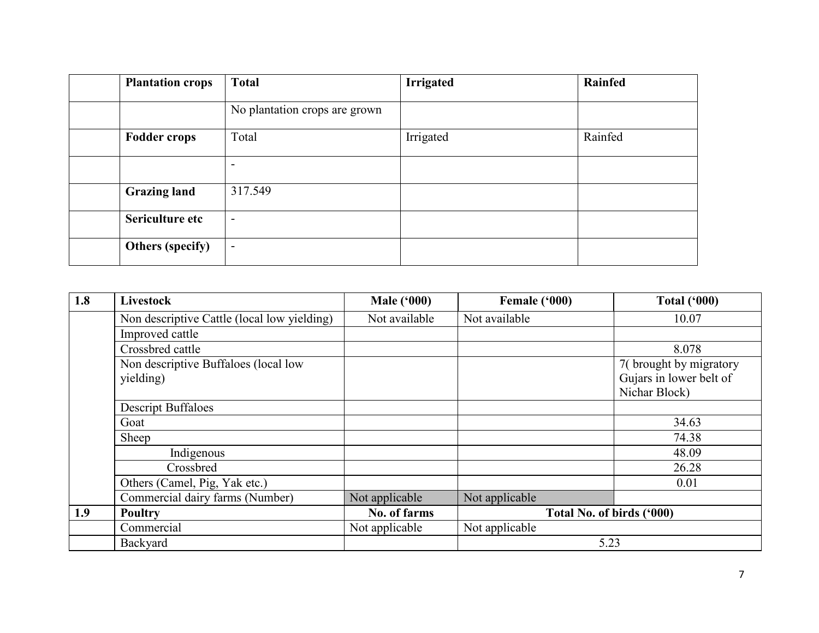| <b>Plantation crops</b> | <b>Total</b>                  | <b>Irrigated</b> | Rainfed |
|-------------------------|-------------------------------|------------------|---------|
|                         | No plantation crops are grown |                  |         |
| <b>Fodder crops</b>     | Total                         | Irrigated        | Rainfed |
|                         | -                             |                  |         |
| <b>Grazing land</b>     | 317.549                       |                  |         |
| Sericulture etc         | $\overline{\phantom{0}}$      |                  |         |
| <b>Others (specify)</b> | $\overline{\phantom{a}}$      |                  |         |

| 1.8 | Livestock                                         | <b>Male ('000)</b> | Female ('000)  | <b>Total ('000)</b>                                                |  |
|-----|---------------------------------------------------|--------------------|----------------|--------------------------------------------------------------------|--|
|     | Non descriptive Cattle (local low yielding)       | Not available      | Not available  | 10.07                                                              |  |
|     | Improved cattle                                   |                    |                |                                                                    |  |
|     | Crossbred cattle                                  |                    |                | 8.078                                                              |  |
|     | Non descriptive Buffaloes (local low<br>yielding) |                    |                | 7(brought by migratory<br>Gujars in lower belt of<br>Nichar Block) |  |
|     | <b>Descript Buffaloes</b>                         |                    |                |                                                                    |  |
|     | Goat                                              |                    |                | 34.63                                                              |  |
|     | Sheep                                             |                    |                | 74.38                                                              |  |
|     | Indigenous                                        |                    |                | 48.09                                                              |  |
|     | Crossbred                                         |                    |                | 26.28                                                              |  |
|     | Others (Camel, Pig, Yak etc.)                     |                    |                | 0.01                                                               |  |
|     | Commercial dairy farms (Number)                   | Not applicable     | Not applicable |                                                                    |  |
| 1.9 | <b>Poultry</b>                                    | No. of farms       |                | Total No. of birds ('000)                                          |  |
|     | Commercial                                        | Not applicable     | Not applicable |                                                                    |  |
|     | Backyard                                          |                    | 5.23           |                                                                    |  |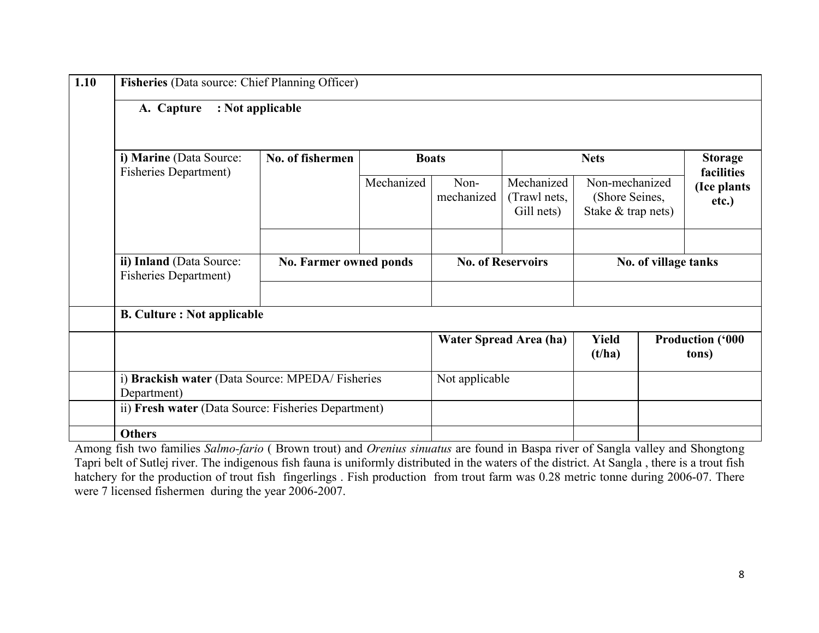| : Not applicable<br>A. Capture                           |                                                 |              |                    |                                          |                                                        |                      |                                     |
|----------------------------------------------------------|-------------------------------------------------|--------------|--------------------|------------------------------------------|--------------------------------------------------------|----------------------|-------------------------------------|
| i) Marine (Data Source:<br><b>Fisheries Department)</b>  | No. of fishermen                                | <b>Boats</b> |                    | <b>Nets</b>                              |                                                        |                      | <b>Storage</b>                      |
|                                                          |                                                 | Mechanized   | Non-<br>mechanized | Mechanized<br>(Trawl nets,<br>Gill nets) | Non-mechanized<br>(Shore Seines,<br>Stake & trap nets) |                      | facilities<br>(Ice plants)<br>etc.) |
| ii) Inland (Data Source:<br><b>Fisheries Department)</b> | <b>No. Farmer owned ponds</b>                   |              |                    | <b>No. of Reservoirs</b>                 |                                                        | No. of village tanks |                                     |
| <b>B. Culture : Not applicable</b>                       |                                                 |              |                    |                                          |                                                        |                      |                                     |
|                                                          |                                                 |              |                    | <b>Water Spread Area (ha)</b>            | <b>Yield</b><br>(t/ha)                                 |                      | <b>Production ('000</b><br>tons)    |
| Department)                                              | i) Brackish water (Data Source: MPEDA/Fisheries |              |                    | Not applicable                           |                                                        |                      |                                     |
| ii) Fresh water (Data Source: Fisheries Department)      |                                                 |              |                    |                                          |                                                        |                      |                                     |
| <b>Others</b>                                            |                                                 |              |                    |                                          |                                                        |                      |                                     |

Among fish two families Salmo-fario (Brown trout) and Orenius sinuatus are found in Baspa river of Sangla valley and Shongtong Tapri belt of Sutlej river. The indigenous fish fauna is uniformly distributed in the waters of the district. At Sangla , there is a trout fish hatchery for the production of trout fish fingerlings . Fish production from trout farm was 0.28 metric tonne during 2006-07. There were 7 licensed fishermen during the year 2006-2007.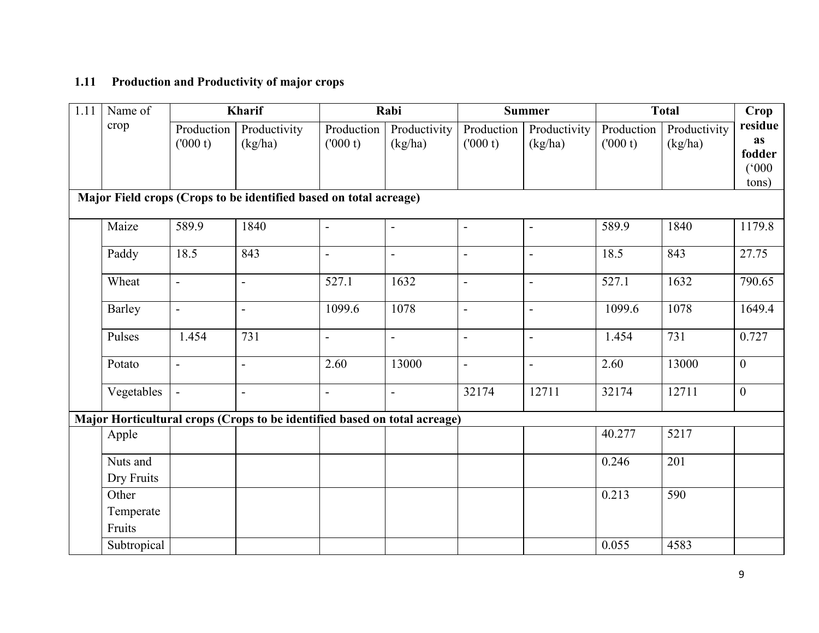### 1.11 Production and Productivity of major crops

| 1.11 | Name of                      |                       | Kharif                                                                    |                          | Rabi                     |                          | <b>Summer</b>            |                       | <b>Total</b>            | Crop                                             |
|------|------------------------------|-----------------------|---------------------------------------------------------------------------|--------------------------|--------------------------|--------------------------|--------------------------|-----------------------|-------------------------|--------------------------------------------------|
|      | crop                         | Production<br>(000 t) | Productivity<br>(kg/ha)                                                   | Production<br>(000 t)    | Productivity<br>(kg/ha)  | Production<br>(000 t)    | Productivity<br>(kg/ha)  | Production<br>(000 t) | Productivity<br>(kg/ha) | residue<br><b>as</b><br>fodder<br>(000)<br>tons) |
|      |                              |                       | Major Field crops (Crops to be identified based on total acreage)         |                          |                          |                          |                          |                       |                         |                                                  |
|      | Maize                        | 589.9                 | 1840                                                                      |                          | $\overline{\phantom{0}}$ | $\overline{a}$           | $\overline{\phantom{0}}$ | 589.9                 | 1840                    | 1179.8                                           |
|      | Paddy                        | 18.5                  | 843                                                                       | $\overline{\phantom{a}}$ | $\overline{a}$           | $\overline{\phantom{a}}$ | $\overline{\phantom{a}}$ | 18.5                  | 843                     | 27.75                                            |
|      | Wheat                        | $\blacksquare$        | $\overline{a}$                                                            | 527.1                    | 1632                     | $\blacksquare$           | $\overline{a}$           | 527.1                 | 1632                    | 790.65                                           |
|      | Barley                       | $\blacksquare$        | $\overline{\phantom{a}}$                                                  | 1099.6                   | 1078                     | $\blacksquare$           | $\overline{\phantom{a}}$ | 1099.6                | 1078                    | 1649.4                                           |
|      | Pulses                       | 1.454                 | 731                                                                       | $\overline{\phantom{a}}$ | $\overline{a}$           | $\bar{\phantom{a}}$      | $\overline{a}$           | 1.454                 | 731                     | 0.727                                            |
|      | Potato                       | $\blacksquare$        | $\overline{a}$                                                            | 2.60                     | 13000                    | $\blacksquare$           | $\blacksquare$           | 2.60                  | 13000                   | $\overline{0}$                                   |
|      | Vegetables                   | $\blacksquare$        | $\blacksquare$                                                            | $\blacksquare$           | $\overline{\phantom{a}}$ | 32174                    | 12711                    | 32174                 | 12711                   | $\overline{0}$                                   |
|      |                              |                       | Major Horticultural crops (Crops to be identified based on total acreage) |                          |                          |                          |                          |                       |                         |                                                  |
|      | Apple                        |                       |                                                                           |                          |                          |                          |                          | 40.277                | 5217                    |                                                  |
|      | Nuts and<br>Dry Fruits       |                       |                                                                           |                          |                          |                          |                          | 0.246                 | 201                     |                                                  |
|      | Other<br>Temperate<br>Fruits |                       |                                                                           |                          |                          |                          |                          | 0.213                 | 590                     |                                                  |
|      | Subtropical                  |                       |                                                                           |                          |                          |                          |                          | 0.055                 | 4583                    |                                                  |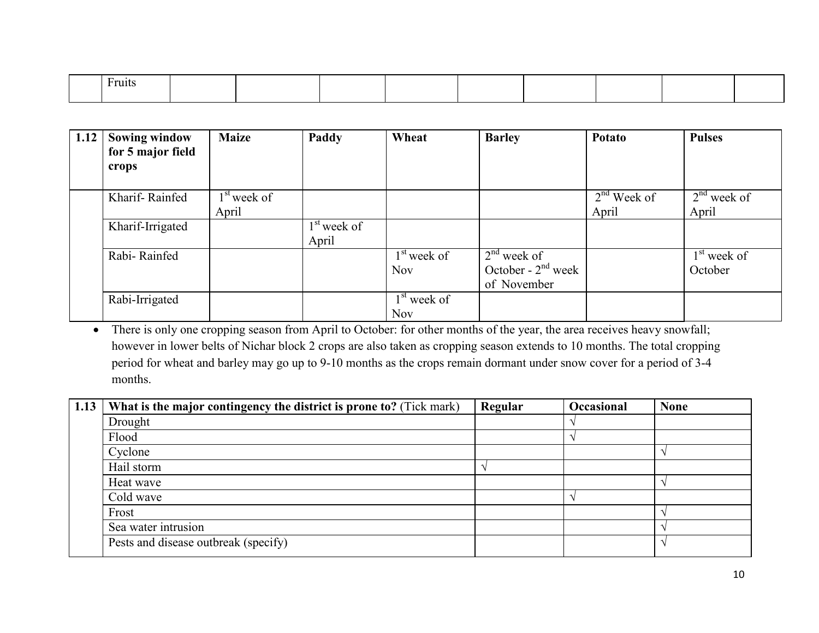| $F$ ruits |  |  |  |  |  |
|-----------|--|--|--|--|--|
|           |  |  |  |  |  |

| 1.12 | <b>Sowing window</b><br>for 5 major field<br>crops | <b>Maize</b>           | Paddy                  | Wheat                       | <b>Barley</b>                                        | Potato                 | <b>Pulses</b>            |
|------|----------------------------------------------------|------------------------|------------------------|-----------------------------|------------------------------------------------------|------------------------|--------------------------|
|      | Kharif-Rainfed                                     | $1st$ week of<br>April |                        |                             |                                                      | $2nd$ Week of<br>April | $2nd$ week of<br>April   |
|      | Kharif-Irrigated                                   |                        | $1st$ week of<br>April |                             |                                                      |                        |                          |
|      | Rabi-Rainfed                                       |                        |                        | $1st$ week of<br><b>Nov</b> | $2nd$ week of<br>October - $2nd$ week<br>of November |                        | $1st$ week of<br>October |
|      | Rabi-Irrigated                                     |                        |                        | $1st$ week of<br>Nov        |                                                      |                        |                          |

 • There is only one cropping season from April to October: for other months of the year, the area receives heavy snowfall; however in lower belts of Nichar block 2 crops are also taken as cropping season extends to 10 months. The total cropping period for wheat and barley may go up to 9-10 months as the crops remain dormant under snow cover for a period of 3-4 months.

| 1.13 | What is the major contingency the district is prone to? (Tick mark) | Regular | Occasional | <b>None</b> |
|------|---------------------------------------------------------------------|---------|------------|-------------|
|      | Drought                                                             |         |            |             |
|      | Flood                                                               |         |            |             |
|      | Cyclone                                                             |         |            |             |
|      | Hail storm                                                          |         |            |             |
|      | Heat wave                                                           |         |            |             |
|      | Cold wave                                                           |         |            |             |
|      | Frost                                                               |         |            |             |
|      | Sea water intrusion                                                 |         |            |             |
|      | Pests and disease outbreak (specify)                                |         |            |             |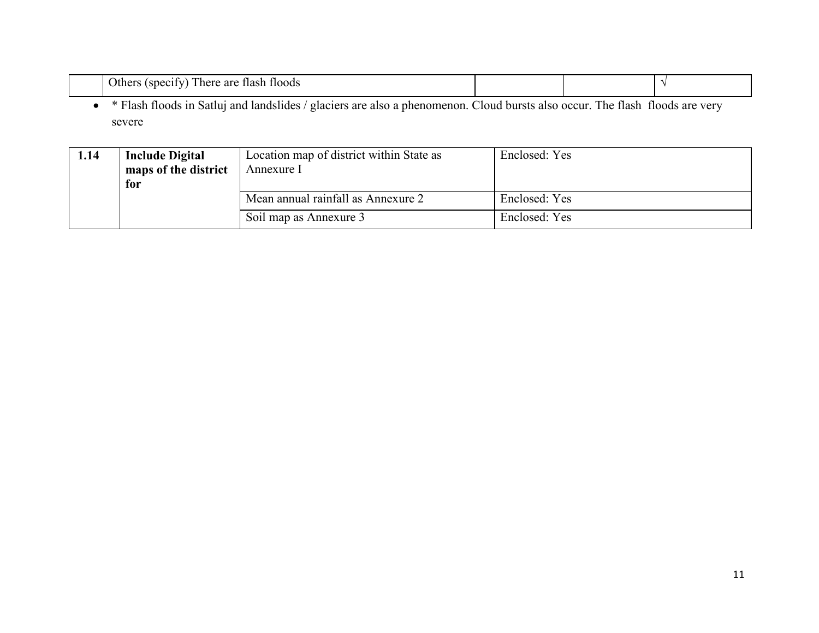| Others (specify) There are flash floods                                                                                      |  |  |
|------------------------------------------------------------------------------------------------------------------------------|--|--|
| * Flash floods in Satluj and landslides / glaciers are also a phenomenon. Cloud bursts also occur. The flash floods are very |  |  |
| severe                                                                                                                       |  |  |

| 1.14 | <b>Include Digital</b><br>maps of the district<br>for | Location map of district within State as<br>Annexure 1 | Enclosed: Yes |
|------|-------------------------------------------------------|--------------------------------------------------------|---------------|
|      |                                                       | Mean annual rainfall as Annexure 2                     | Enclosed: Yes |
|      |                                                       | Soil map as Annexure 3                                 | Enclosed: Yes |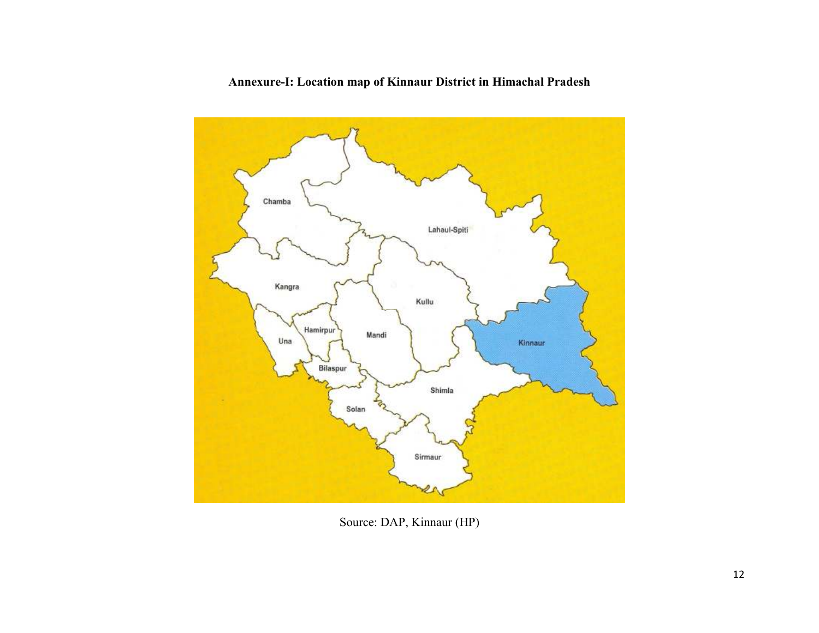

#### Annexure-I: Location map of Kinnaur District in Himachal Pradesh

Source: DAP, Kinnaur (HP)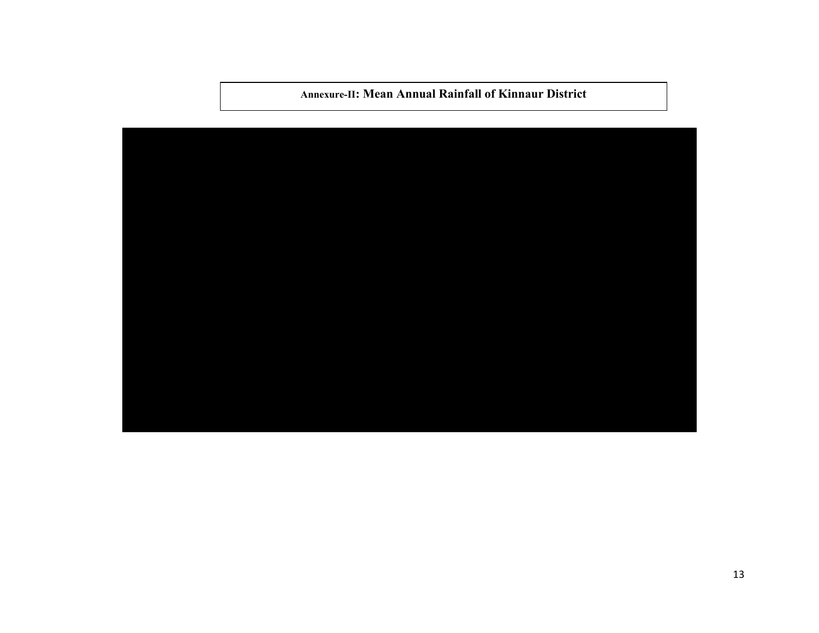Annexure-II: Mean Annual Rainfall of Kinnaur District

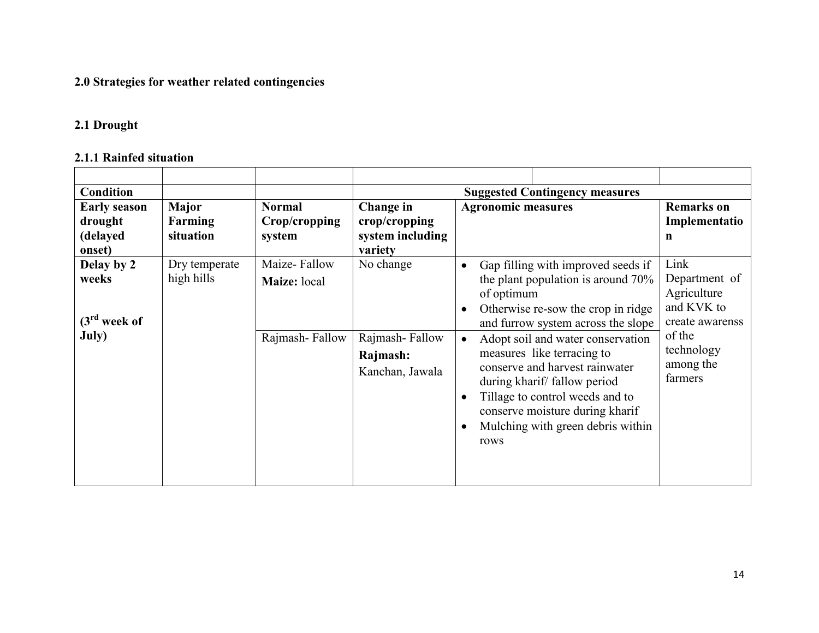### 2.0 Strategies for weather related contingencies

#### 2.1 Drought

# 2.1.1 Rainfed situation

| <b>Condition</b>                               |                             |                                                |                                                            |                           | <b>Suggested Contingency measures</b>                                                                                                                                                                                                                                                                                                                                                               |                                                                                                                       |
|------------------------------------------------|-----------------------------|------------------------------------------------|------------------------------------------------------------|---------------------------|-----------------------------------------------------------------------------------------------------------------------------------------------------------------------------------------------------------------------------------------------------------------------------------------------------------------------------------------------------------------------------------------------------|-----------------------------------------------------------------------------------------------------------------------|
| <b>Early season</b>                            | <b>Major</b>                | <b>Normal</b>                                  | Change in                                                  | <b>Agronomic measures</b> |                                                                                                                                                                                                                                                                                                                                                                                                     | <b>Remarks</b> on                                                                                                     |
| drought                                        | Farming                     | Crop/cropping                                  | crop/cropping                                              |                           |                                                                                                                                                                                                                                                                                                                                                                                                     | Implementatio                                                                                                         |
| (delayed                                       | situation                   | system                                         | system including                                           |                           |                                                                                                                                                                                                                                                                                                                                                                                                     | n                                                                                                                     |
| onset)                                         |                             |                                                | variety                                                    |                           |                                                                                                                                                                                                                                                                                                                                                                                                     |                                                                                                                       |
| Delay by 2<br>weeks<br>$(3rd$ week of<br>July) | Dry temperate<br>high hills | Maize-Fallow<br>Maize: local<br>Rajmash-Fallow | No change<br>Rajmash-Fallow<br>Rajmash:<br>Kanchan, Jawala | of optimum<br>rows        | Gap filling with improved seeds if<br>the plant population is around 70%<br>Otherwise re-sow the crop in ridge<br>and furrow system across the slope<br>Adopt soil and water conservation<br>measures like terracing to<br>conserve and harvest rainwater<br>during kharif/fallow period<br>Tillage to control weeds and to<br>conserve moisture during kharif<br>Mulching with green debris within | Link<br>Department of<br>Agriculture<br>and KVK to<br>create awarenss<br>of the<br>technology<br>among the<br>farmers |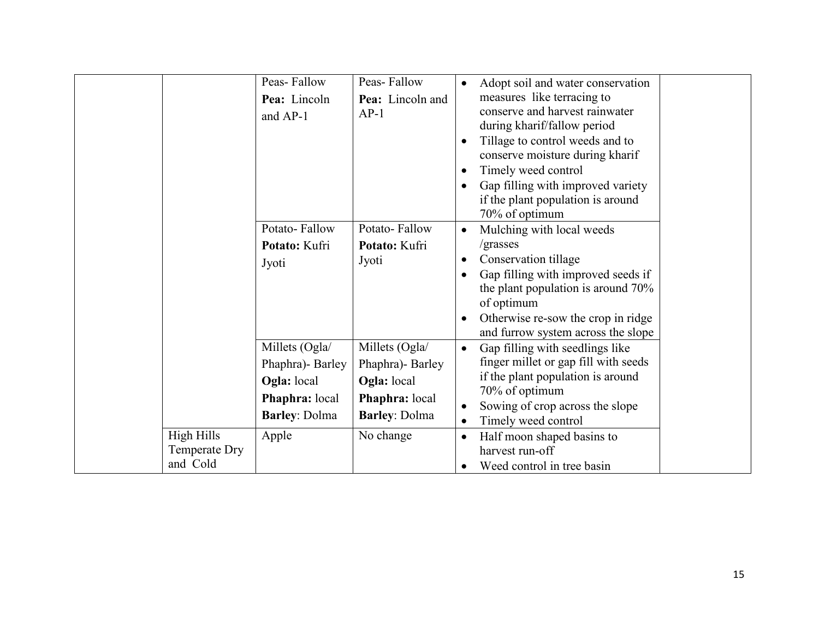|                                                | Peas-Fallow<br>Pea: Lincoln<br>and AP-1                                                               | Peas-Fallow<br>Pea: Lincoln and<br>$AP-1$                                                                |                        | Adopt soil and water conservation<br>measures like terracing to<br>conserve and harvest rainwater<br>during kharif/fallow period<br>Tillage to control weeds and to<br>conserve moisture during kharif<br>Timely weed control<br>Gap filling with improved variety<br>if the plant population is around<br>70% of optimum |  |
|------------------------------------------------|-------------------------------------------------------------------------------------------------------|----------------------------------------------------------------------------------------------------------|------------------------|---------------------------------------------------------------------------------------------------------------------------------------------------------------------------------------------------------------------------------------------------------------------------------------------------------------------------|--|
|                                                | Potato-Fallow<br>Potato: Kufri<br>Jyoti                                                               | Potato-Fallow<br>Potato: Kufri<br>Jyoti                                                                  |                        | Mulching with local weeds<br>/grasses<br>Conservation tillage<br>Gap filling with improved seeds if<br>the plant population is around 70%<br>of optimum<br>Otherwise re-sow the crop in ridge<br>and furrow system across the slope                                                                                       |  |
| <b>High Hills</b><br>Temperate Dry<br>and Cold | Millets (Ogla/<br>Phaphra) - Barley<br>Ogla: local<br>Phaphra: local<br><b>Barley: Dolma</b><br>Apple | Millets (Ogla/<br>Phaphra)- Barley<br>Ogla: local<br>Phaphra: local<br><b>Barley: Dolma</b><br>No change | $\bullet$<br>$\bullet$ | Gap filling with seedlings like<br>finger millet or gap fill with seeds<br>if the plant population is around<br>70% of optimum<br>Sowing of crop across the slope<br>Timely weed control<br>Half moon shaped basins to<br>harvest run-off<br>Weed control in tree basin                                                   |  |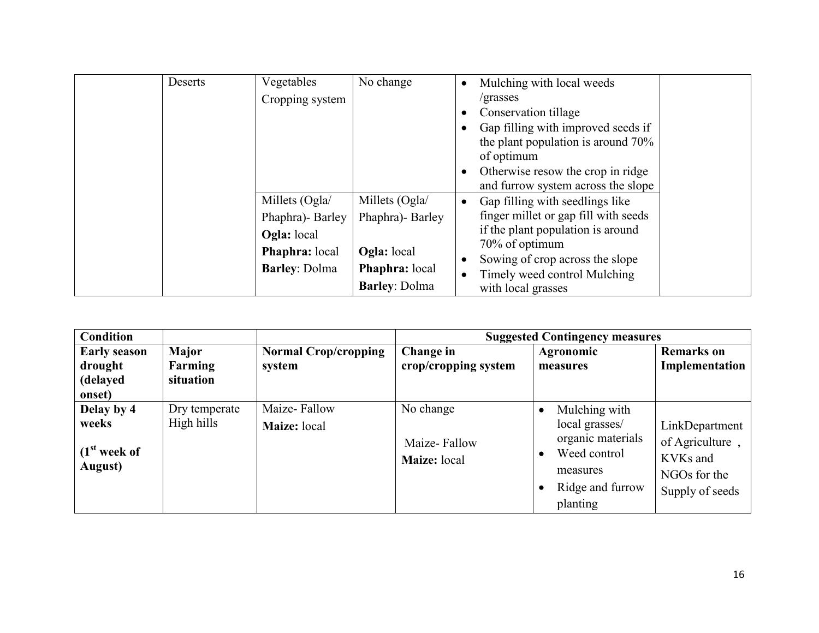| Deserts | Vegetables            | No change             | Mulching with local weeds            |
|---------|-----------------------|-----------------------|--------------------------------------|
|         | Cropping system       |                       | /grasses                             |
|         |                       |                       | Conservation tillage                 |
|         |                       |                       | Gap filling with improved seeds if   |
|         |                       |                       | the plant population is around 70%   |
|         |                       |                       | of optimum                           |
|         |                       |                       | Otherwise resow the crop in ridge    |
|         |                       |                       | and furrow system across the slope   |
|         | Millets (Ogla/        | Millets (Ogla/        | Gap filling with seedlings like      |
|         | Phaphra)- Barley      | Phaphra) - Barley     | finger millet or gap fill with seeds |
|         | <b>Ogla:</b> local    |                       | if the plant population is around    |
|         | <b>Phaphra:</b> local | <b>Ogla:</b> local    | 70% of optimum                       |
|         | <b>Barley: Dolma</b>  |                       | Sowing of crop across the slope      |
|         |                       | <b>Phaphra:</b> local | Timely weed control Mulching         |
|         |                       | <b>Barley: Dolma</b>  | with local grasses                   |

| <b>Condition</b>                                           |                                      |                                       |                                           | <b>Suggested Contingency measures</b>                                                                                                      |                                                                                  |
|------------------------------------------------------------|--------------------------------------|---------------------------------------|-------------------------------------------|--------------------------------------------------------------------------------------------------------------------------------------------|----------------------------------------------------------------------------------|
| <b>Early season</b><br>drought<br>(delayed<br>onset)       | <b>Major</b><br>Farming<br>situation | <b>Normal Crop/cropping</b><br>system | Change in<br>crop/cropping system         | Agronomic<br>measures                                                                                                                      | <b>Remarks</b> on<br>Implementation                                              |
| Delay by 4<br>weeks<br>(1 <sup>st</sup> week of<br>August) | Dry temperate<br>High hills          | Maize-Fallow<br>Maize: local          | No change<br>Maize-Fallow<br>Maize: local | Mulching with<br>$\bullet$<br>local grasses/<br>organic materials<br>Weed control<br>$\bullet$<br>measures<br>Ridge and furrow<br>planting | LinkDepartment<br>of Agriculture,<br>KVKs and<br>NGOs for the<br>Supply of seeds |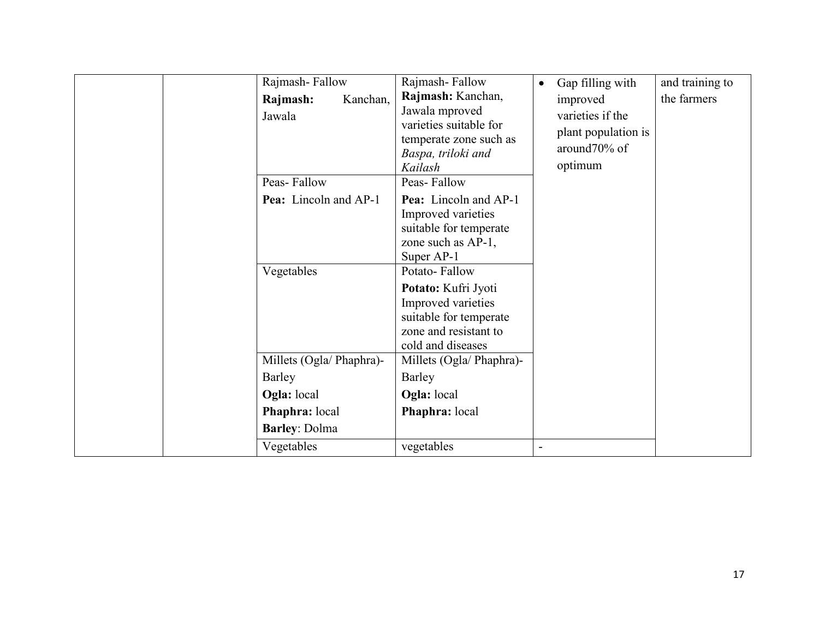| Rajmash-Fallow                                        | Rajmash-Fallow                                                                                                                          | Gap filling with<br>$\bullet$                                                  | and training to |
|-------------------------------------------------------|-----------------------------------------------------------------------------------------------------------------------------------------|--------------------------------------------------------------------------------|-----------------|
| Kanchan,<br>Rajmash:<br>Jawala<br>Peas-Fallow         | Rajmash: Kanchan,<br>Jawala mproved<br>varieties suitable for<br>temperate zone such as<br>Baspa, triloki and<br>Kailash<br>Peas-Fallow | improved<br>varieties if the<br>plant population is<br>around70% of<br>optimum | the farmers     |
| <b>Pea:</b> Lincoln and AP-1                          | Pea: Lincoln and AP-1<br>Improved varieties<br>suitable for temperate<br>zone such as AP-1,<br>Super AP-1                               |                                                                                |                 |
| Vegetables                                            | Potato-Fallow<br>Potato: Kufri Jyoti<br>Improved varieties<br>suitable for temperate<br>zone and resistant to<br>cold and diseases      |                                                                                |                 |
| Millets (Ogla/ Phaphra)-<br><b>Barley</b>             | Millets (Ogla/ Phaphra)-<br><b>Barley</b>                                                                                               |                                                                                |                 |
| Ogla: local<br>Phaphra: local<br><b>Barley: Dolma</b> | Ogla: local<br>Phaphra: local                                                                                                           |                                                                                |                 |
| Vegetables                                            | vegetables                                                                                                                              |                                                                                |                 |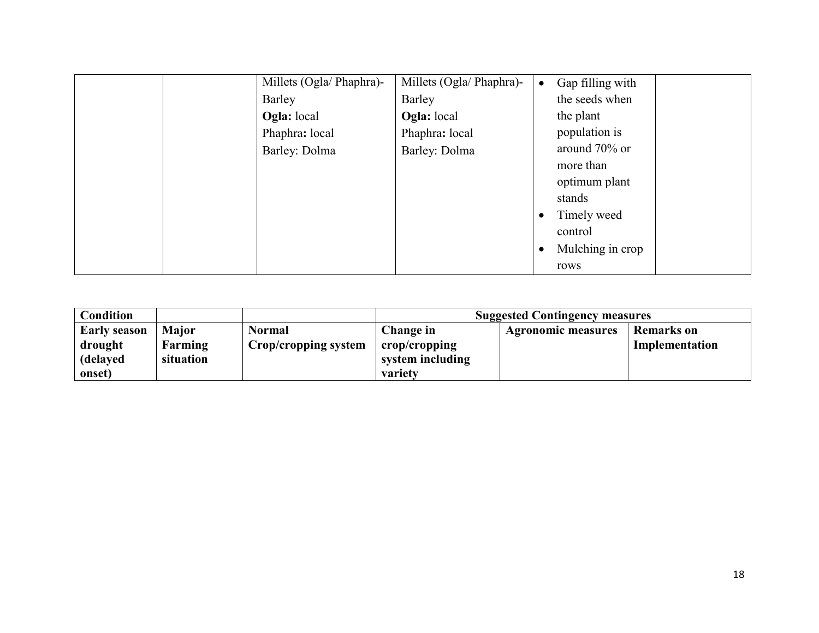| Millets (Ogla/ Phaphra)- | Millets (Ogla/ Phaphra)- | Gap filling with<br>$\bullet$ |
|--------------------------|--------------------------|-------------------------------|
| Barley                   | Barley                   | the seeds when                |
| <b>Ogla:</b> local       | Ogla: local              | the plant                     |
| Phaphra: local           | Phaphra: local           | population is                 |
| Barley: Dolma            | Barley: Dolma            | around 70% or                 |
|                          |                          | more than                     |
|                          |                          | optimum plant                 |
|                          |                          | stands                        |
|                          |                          | Timely weed<br>$\bullet$      |
|                          |                          | control                       |
|                          |                          | Mulching in crop<br>$\bullet$ |
|                          |                          | rows                          |

| <b>Condition</b>    |              |                      | <b>Suggested Contingency measures</b> |                           |                   |  |  |
|---------------------|--------------|----------------------|---------------------------------------|---------------------------|-------------------|--|--|
| <b>Early season</b> | <b>Major</b> | <b>Normal</b>        | Change in                             | <b>Agronomic measures</b> | <b>Remarks</b> on |  |  |
| drought             | Farming      | Crop/cropping system | crop/cropping                         |                           | Implementation    |  |  |
| delayed             | situation    |                      | system including                      |                           |                   |  |  |
| onset)              |              |                      | variety                               |                           |                   |  |  |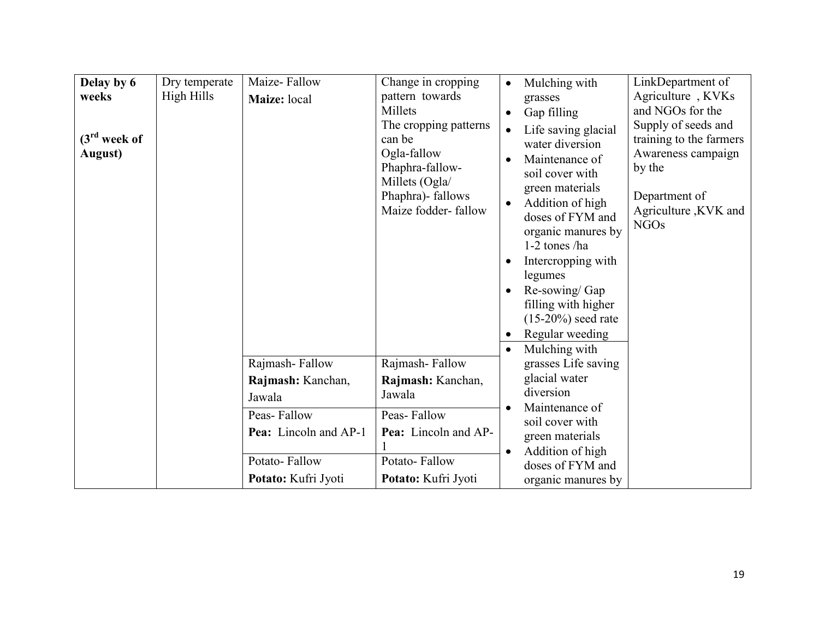| Delay by 6<br>weeks<br>$(3rd$ week of<br>August) | Dry temperate<br>High Hills | Maize-Fallow<br>Maize: local | Change in cropping<br>pattern towards<br>Millets<br>The cropping patterns<br>can be<br>Ogla-fallow<br>Phaphra-fallow-<br>Millets (Ogla/<br>Phaphra)- fallows<br>Maize fodder-fallow | $\bullet$ | Mulching with<br>grasses<br>Gap filling<br>Life saving glacial<br>water diversion<br>Maintenance of<br>soil cover with<br>green materials<br>Addition of high<br>doses of FYM and<br>organic manures by<br>1-2 tones /ha<br>Intercropping with<br>legumes<br>Re-sowing/Gap<br>filling with higher<br>$(15-20\%)$ seed rate<br>Regular weeding<br>Mulching with | LinkDepartment of<br>Agriculture, KVKs<br>and NGOs for the<br>Supply of seeds and<br>training to the farmers<br>Awareness campaign<br>by the<br>Department of<br>Agriculture, KVK and<br><b>NGOs</b> |
|--------------------------------------------------|-----------------------------|------------------------------|-------------------------------------------------------------------------------------------------------------------------------------------------------------------------------------|-----------|----------------------------------------------------------------------------------------------------------------------------------------------------------------------------------------------------------------------------------------------------------------------------------------------------------------------------------------------------------------|------------------------------------------------------------------------------------------------------------------------------------------------------------------------------------------------------|
|                                                  |                             | Rajmash-Fallow               | Rajmash-Fallow                                                                                                                                                                      |           | grasses Life saving                                                                                                                                                                                                                                                                                                                                            |                                                                                                                                                                                                      |
|                                                  |                             | Rajmash: Kanchan,<br>Jawala  | Rajmash: Kanchan,<br>Jawala                                                                                                                                                         |           | glacial water<br>diversion                                                                                                                                                                                                                                                                                                                                     |                                                                                                                                                                                                      |
|                                                  |                             | Peas-Fallow                  | Peas-Fallow                                                                                                                                                                         |           | Maintenance of<br>soil cover with                                                                                                                                                                                                                                                                                                                              |                                                                                                                                                                                                      |
|                                                  |                             | Pea: Lincoln and AP-1        | Pea: Lincoln and AP-                                                                                                                                                                |           | green materials                                                                                                                                                                                                                                                                                                                                                |                                                                                                                                                                                                      |
|                                                  |                             | Potato-Fallow                | Potato-Fallow                                                                                                                                                                       |           | Addition of high<br>doses of FYM and                                                                                                                                                                                                                                                                                                                           |                                                                                                                                                                                                      |
|                                                  |                             | Potato: Kufri Jyoti          | Potato: Kufri Jyoti                                                                                                                                                                 |           | organic manures by                                                                                                                                                                                                                                                                                                                                             |                                                                                                                                                                                                      |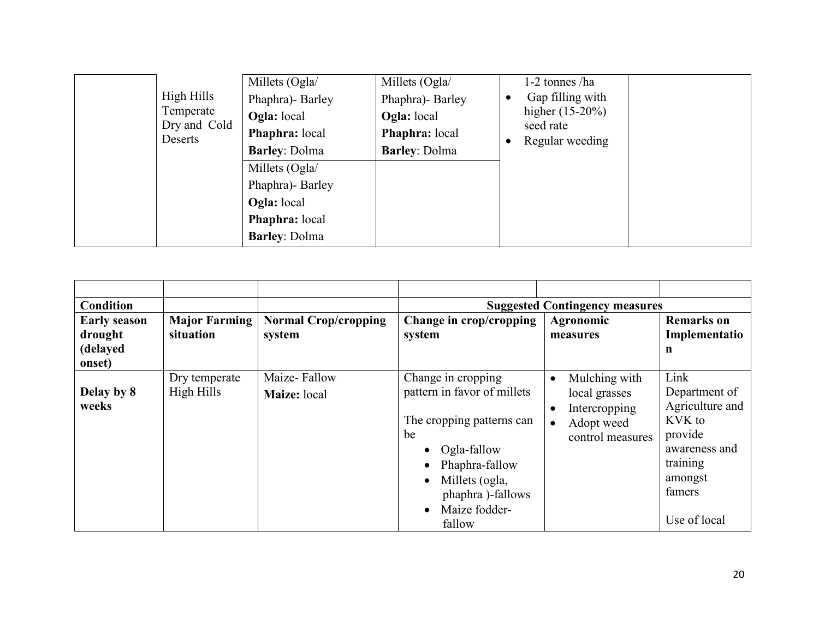| High Hills<br>Temperate<br>Dry and Cold<br>Deserts | Millets (Ogla/<br>Phaphra)- Barley<br><b>Ogla:</b> local<br>Phaphra: local<br><b>Barley: Dolma</b> | Millets (Ogla/<br>Phaphra)- Barley<br><b>Ogla:</b> local<br><b>Phaphra:</b> local<br><b>Barley: Dolma</b> | 1-2 tonnes /ha<br>Gap filling with<br>higher $(15-20%)$<br>seed rate<br>Regular weeding |  |
|----------------------------------------------------|----------------------------------------------------------------------------------------------------|-----------------------------------------------------------------------------------------------------------|-----------------------------------------------------------------------------------------|--|
|                                                    | Millets (Ogla/<br>Phaphra)- Barley<br><b>Ogla:</b> local<br>Phaphra: local<br><b>Barley: Dolma</b> |                                                                                                           |                                                                                         |  |

| <b>Condition</b>                           |                                   |                                       | <b>Suggested Contingency measures</b>                                                                                                                                                               |                                                                                                |                                                                                                                                 |  |  |
|--------------------------------------------|-----------------------------------|---------------------------------------|-----------------------------------------------------------------------------------------------------------------------------------------------------------------------------------------------------|------------------------------------------------------------------------------------------------|---------------------------------------------------------------------------------------------------------------------------------|--|--|
| <b>Early season</b><br>drought<br>(delayed | <b>Major Farming</b><br>situation | <b>Normal Crop/cropping</b><br>system | Change in crop/cropping<br>system                                                                                                                                                                   | Agronomic<br>measures                                                                          | <b>Remarks</b> on<br>Implementatio<br>n                                                                                         |  |  |
| onset)                                     |                                   |                                       |                                                                                                                                                                                                     |                                                                                                |                                                                                                                                 |  |  |
| Delay by 8<br>weeks                        | Dry temperate<br>High Hills       | Maize-Fallow<br>Maize: local          | Change in cropping<br>pattern in favor of millets<br>The cropping patterns can<br>be<br>Ogla-fallow<br>Phaphra-fallow<br>Millets (ogla,<br>phaphra)-fallows<br>Maize fodder-<br>$\bullet$<br>fallow | Mulching with<br>$\bullet$<br>local grasses<br>Intercropping<br>Adopt weed<br>control measures | Link<br>Department of<br>Agriculture and<br>KVK to<br>provide<br>awareness and<br>training<br>amongst<br>famers<br>Use of local |  |  |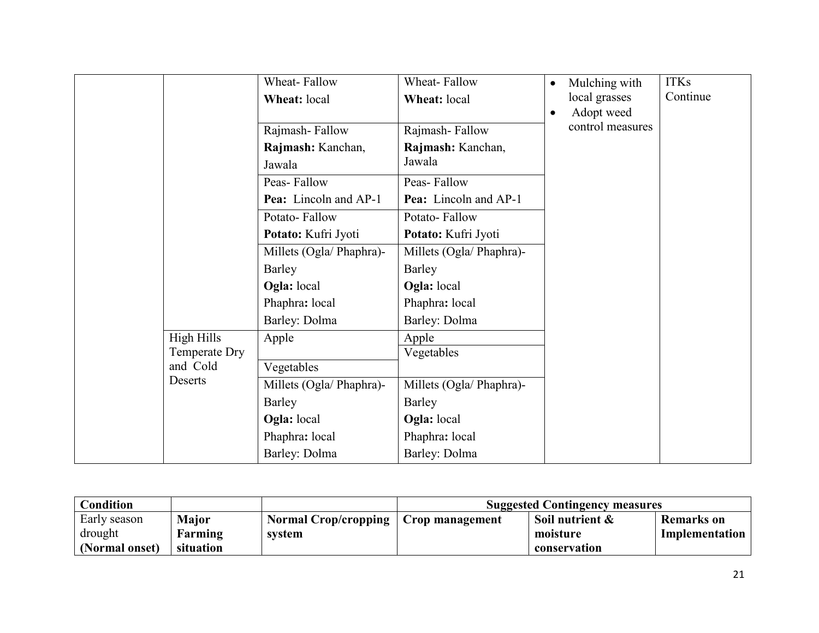|            | Wheat-Fallow                         | Wheat-Fallow                           | $\bullet$                              | Mulching with | <b>ITKs</b>      |
|------------|--------------------------------------|----------------------------------------|----------------------------------------|---------------|------------------|
|            | Wheat: local                         | Wheat: local                           |                                        | local grasses | Continue         |
|            |                                      |                                        |                                        | Adopt weed    |                  |
|            | Rajmash-Fallow                       | Rajmash-Fallow                         |                                        |               |                  |
|            | Rajmash: Kanchan,                    | Rajmash: Kanchan,                      |                                        |               |                  |
|            | Jawala                               | Jawala                                 |                                        |               |                  |
|            | Peas-Fallow                          | Peas-Fallow                            |                                        |               |                  |
|            | Pea: Lincoln and AP-1                | Pea: Lincoln and AP-1                  |                                        |               |                  |
|            | Potato-Fallow                        | Potato-Fallow                          |                                        |               |                  |
|            | Potato: Kufri Jyoti                  | Potato: Kufri Jyoti                    |                                        |               |                  |
|            | Millets (Ogla/ Phaphra)-             | Millets (Ogla/ Phaphra)-               |                                        |               |                  |
|            | Barley                               | Barley                                 |                                        |               |                  |
|            | Ogla: local                          | Ogla: local                            |                                        |               |                  |
|            | Phaphra: local                       | Phaphra: local                         |                                        |               |                  |
|            | Barley: Dolma                        | Barley: Dolma                          |                                        |               |                  |
| High Hills | Apple                                | Apple                                  |                                        |               |                  |
|            |                                      |                                        |                                        |               |                  |
|            |                                      |                                        |                                        |               |                  |
|            |                                      |                                        |                                        |               |                  |
|            | Barley                               | Barley                                 |                                        |               |                  |
|            | Ogla: local                          | Ogla: local                            |                                        |               |                  |
|            | Phaphra: local                       | Phaphra: local                         |                                        |               |                  |
|            | Barley: Dolma                        | Barley: Dolma                          |                                        |               |                  |
|            | Temperate Dry<br>and Cold<br>Deserts | Vegetables<br>Millets (Ogla/ Phaphra)- | Vegetables<br>Millets (Ogla/ Phaphra)- |               | control measures |

| <b>Condition</b> |           |                             | <b>Suggested Contingency measures</b> |                 |                   |  |
|------------------|-----------|-----------------------------|---------------------------------------|-----------------|-------------------|--|
| Early season     | Major     | <b>Normal Crop/cropping</b> | Crop management                       | Soil nutrient & | <b>Remarks</b> on |  |
| drought          | Farming   | system                      |                                       | moisture        | Implementation    |  |
| (Normal onset)   | situation |                             |                                       | conservation    |                   |  |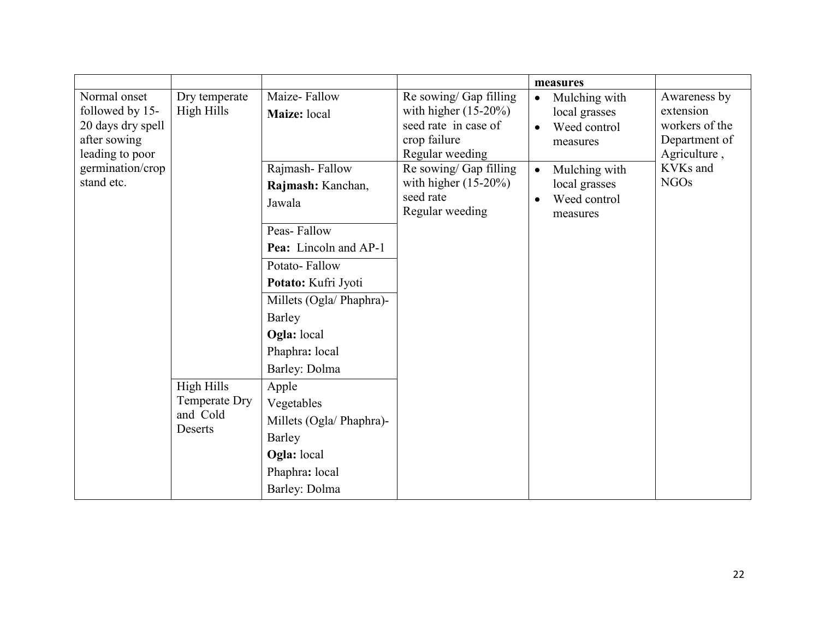|                                                                                         |                             |                                               |                                                                                                              | measures                                                                             |                                                                              |
|-----------------------------------------------------------------------------------------|-----------------------------|-----------------------------------------------|--------------------------------------------------------------------------------------------------------------|--------------------------------------------------------------------------------------|------------------------------------------------------------------------------|
| Normal onset<br>followed by 15-<br>20 days dry spell<br>after sowing<br>leading to poor | Dry temperate<br>High Hills | Maize-Fallow<br>Maize: local                  | Re sowing/ Gap filling<br>with higher $(15-20\%)$<br>seed rate in case of<br>crop failure<br>Regular weeding | Mulching with<br>$\bullet$<br>local grasses<br>Weed control<br>$\bullet$<br>measures | Awareness by<br>extension<br>workers of the<br>Department of<br>Agriculture, |
| germination/crop<br>stand etc.                                                          |                             | Rajmash-Fallow<br>Rajmash: Kanchan,<br>Jawala | Re sowing/ Gap filling<br>with higher $(15-20\%)$<br>seed rate<br>Regular weeding                            | Mulching with<br>$\bullet$<br>local grasses<br>Weed control<br>measures              | KVKs and<br><b>NGOs</b>                                                      |
|                                                                                         |                             | Peas-Fallow                                   |                                                                                                              |                                                                                      |                                                                              |
|                                                                                         |                             | Pea: Lincoln and AP-1                         |                                                                                                              |                                                                                      |                                                                              |
|                                                                                         |                             | Potato-Fallow                                 |                                                                                                              |                                                                                      |                                                                              |
|                                                                                         |                             | Potato: Kufri Jyoti                           |                                                                                                              |                                                                                      |                                                                              |
|                                                                                         |                             | Millets (Ogla/ Phaphra)-                      |                                                                                                              |                                                                                      |                                                                              |
|                                                                                         |                             | Barley                                        |                                                                                                              |                                                                                      |                                                                              |
|                                                                                         |                             | Ogla: local                                   |                                                                                                              |                                                                                      |                                                                              |
|                                                                                         |                             | Phaphra: local                                |                                                                                                              |                                                                                      |                                                                              |
|                                                                                         |                             | Barley: Dolma                                 |                                                                                                              |                                                                                      |                                                                              |
|                                                                                         | <b>High Hills</b>           | Apple                                         |                                                                                                              |                                                                                      |                                                                              |
|                                                                                         | Temperate Dry               | Vegetables                                    |                                                                                                              |                                                                                      |                                                                              |
|                                                                                         | and Cold<br>Deserts         | Millets (Ogla/ Phaphra)-                      |                                                                                                              |                                                                                      |                                                                              |
|                                                                                         |                             | Barley                                        |                                                                                                              |                                                                                      |                                                                              |
|                                                                                         |                             | Ogla: local                                   |                                                                                                              |                                                                                      |                                                                              |
|                                                                                         |                             | Phaphra: local                                |                                                                                                              |                                                                                      |                                                                              |
|                                                                                         |                             | Barley: Dolma                                 |                                                                                                              |                                                                                      |                                                                              |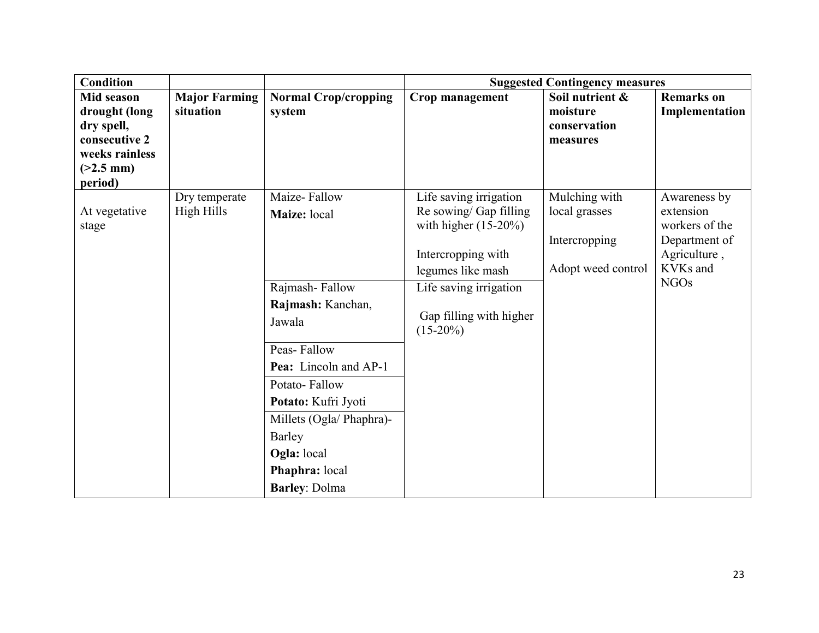| <b>Condition</b>            |                      |                             | <b>Suggested Contingency measures</b> |                    |                               |  |
|-----------------------------|----------------------|-----------------------------|---------------------------------------|--------------------|-------------------------------|--|
| <b>Mid season</b>           | <b>Major Farming</b> | <b>Normal Crop/cropping</b> | Crop management                       | Soil nutrient &    | <b>Remarks</b> on             |  |
| drought (long               | situation            | system                      |                                       | moisture           | Implementation                |  |
| dry spell,<br>consecutive 2 |                      |                             |                                       | conservation       |                               |  |
| weeks rainless              |                      |                             |                                       | measures           |                               |  |
| $(>2.5$ mm)                 |                      |                             |                                       |                    |                               |  |
| period)                     |                      |                             |                                       |                    |                               |  |
|                             | Dry temperate        | Maize-Fallow                | Life saving irrigation                | Mulching with      | Awareness by                  |  |
| At vegetative               | High Hills           | Maize: local                | Re sowing/ Gap filling                | local grasses      | extension                     |  |
| stage                       |                      |                             | with higher $(15-20\%)$               |                    | workers of the                |  |
|                             |                      |                             | Intercropping with                    | Intercropping      | Department of<br>Agriculture, |  |
|                             |                      |                             | legumes like mash                     | Adopt weed control | KVKs and                      |  |
|                             |                      | Rajmash-Fallow              | Life saving irrigation                |                    | <b>NGOs</b>                   |  |
|                             |                      |                             |                                       |                    |                               |  |
|                             |                      | Rajmash: Kanchan,           | Gap filling with higher               |                    |                               |  |
|                             |                      | Jawala                      | $(15-20\%)$                           |                    |                               |  |
|                             |                      | Peas-Fallow                 |                                       |                    |                               |  |
|                             |                      | Pea: Lincoln and AP-1       |                                       |                    |                               |  |
|                             |                      | Potato-Fallow               |                                       |                    |                               |  |
|                             |                      | Potato: Kufri Jyoti         |                                       |                    |                               |  |
|                             |                      | Millets (Ogla/ Phaphra)-    |                                       |                    |                               |  |
|                             |                      | Barley                      |                                       |                    |                               |  |
|                             |                      | Ogla: local                 |                                       |                    |                               |  |
|                             |                      | Phaphra: local              |                                       |                    |                               |  |
|                             |                      | <b>Barley: Dolma</b>        |                                       |                    |                               |  |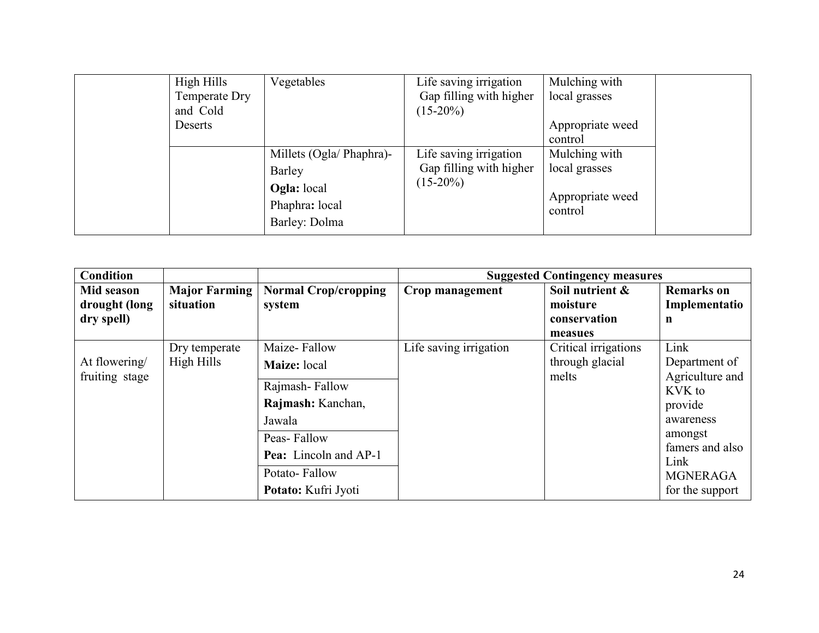| High Hills<br>Temperate Dry<br>and Cold | Vegetables                                            | Life saving irrigation<br>Gap filling with higher<br>$(15-20\%)$ | Mulching with<br>local grasses |  |
|-----------------------------------------|-------------------------------------------------------|------------------------------------------------------------------|--------------------------------|--|
| Deserts                                 |                                                       |                                                                  | Appropriate weed<br>control    |  |
|                                         | Millets (Ogla/ Phaphra)-                              | Life saving irrigation                                           | Mulching with                  |  |
|                                         | Barley                                                | Gap filling with higher                                          | local grasses                  |  |
|                                         | <b>Ogla:</b> local<br>Phaphra: local<br>Barley: Dolma | $(15-20\%)$                                                      | Appropriate weed<br>control    |  |

| <b>Condition</b>                          |                                   |                                                                                                                                                                      |                        | <b>Suggested Contingency measures</b>                  |                                                                                                                                                        |
|-------------------------------------------|-----------------------------------|----------------------------------------------------------------------------------------------------------------------------------------------------------------------|------------------------|--------------------------------------------------------|--------------------------------------------------------------------------------------------------------------------------------------------------------|
| Mid season<br>drought (long<br>dry spell) | <b>Major Farming</b><br>situation | <b>Normal Crop/cropping</b><br>system                                                                                                                                | Crop management        | Soil nutrient &<br>moisture<br>conservation<br>measues | <b>Remarks</b> on<br>Implementatio<br>n                                                                                                                |
| At flowering/<br>fruiting stage           | Dry temperate<br>High Hills       | Maize-Fallow<br>Maize: local<br>Rajmash-Fallow<br>Rajmash: Kanchan,<br>Jawala<br>Peas-Fallow<br><b>Pea:</b> Lincoln and AP-1<br>Potato-Fallow<br>Potato: Kufri Jyoti | Life saving irrigation | Critical irrigations<br>through glacial<br>melts       | Link<br>Department of<br>Agriculture and<br>KVK to<br>provide<br>awareness<br>amongst<br>famers and also<br>Link<br><b>MGNERAGA</b><br>for the support |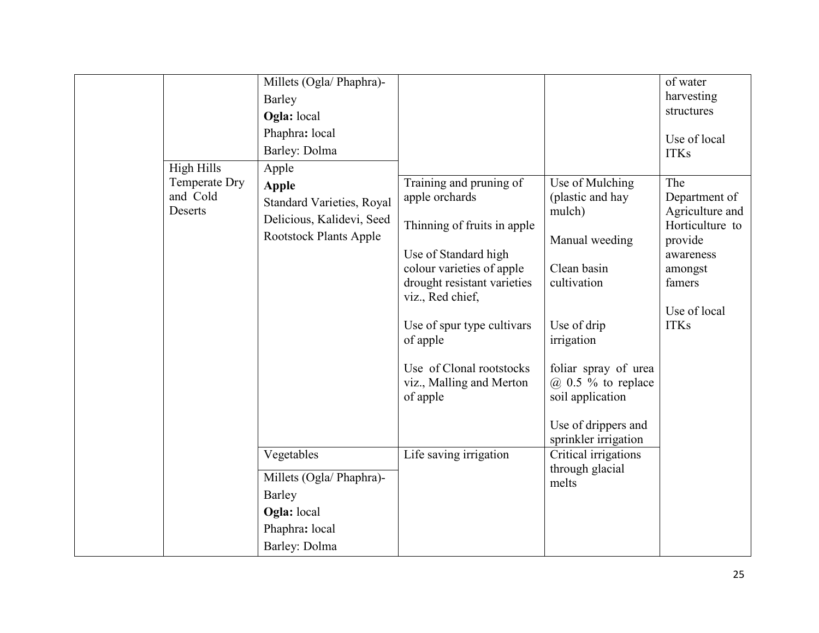| High Hills<br>Temperate Dry<br>and Cold<br>Deserts | Millets (Ogla/ Phaphra)-<br>Barley<br>Ogla: local<br>Phaphra: local<br>Barley: Dolma<br>Apple<br><b>Apple</b><br><b>Standard Varieties, Royal</b><br>Delicious, Kalidevi, Seed<br><b>Rootstock Plants Apple</b> | Training and pruning of<br>apple orchards<br>Thinning of fruits in apple<br>Use of Standard high<br>colour varieties of apple<br>drought resistant varieties<br>viz., Red chief,<br>Use of spur type cultivars<br>of apple<br>Use of Clonal rootstocks<br>viz., Malling and Merton<br>of apple | Use of Mulching<br>(plastic and hay<br>mulch)<br>Manual weeding<br>Clean basin<br>cultivation<br>Use of drip<br>irrigation<br>foliar spray of urea<br>$(a)$ 0.5 % to replace<br>soil application<br>Use of drippers and<br>sprinkler irrigation | of water<br>harvesting<br>structures<br>Use of local<br><b>ITKs</b><br>The<br>Department of<br>Agriculture and<br>Horticulture to<br>provide<br>awareness<br>amongst<br>famers<br>Use of local<br><b>ITKs</b> |
|----------------------------------------------------|-----------------------------------------------------------------------------------------------------------------------------------------------------------------------------------------------------------------|------------------------------------------------------------------------------------------------------------------------------------------------------------------------------------------------------------------------------------------------------------------------------------------------|-------------------------------------------------------------------------------------------------------------------------------------------------------------------------------------------------------------------------------------------------|---------------------------------------------------------------------------------------------------------------------------------------------------------------------------------------------------------------|
|                                                    | Vegetables<br>Millets (Ogla/ Phaphra)-<br>Barley<br>Ogla: local<br>Phaphra: local<br>Barley: Dolma                                                                                                              | Life saving irrigation                                                                                                                                                                                                                                                                         | Critical irrigations<br>through glacial<br>melts                                                                                                                                                                                                |                                                                                                                                                                                                               |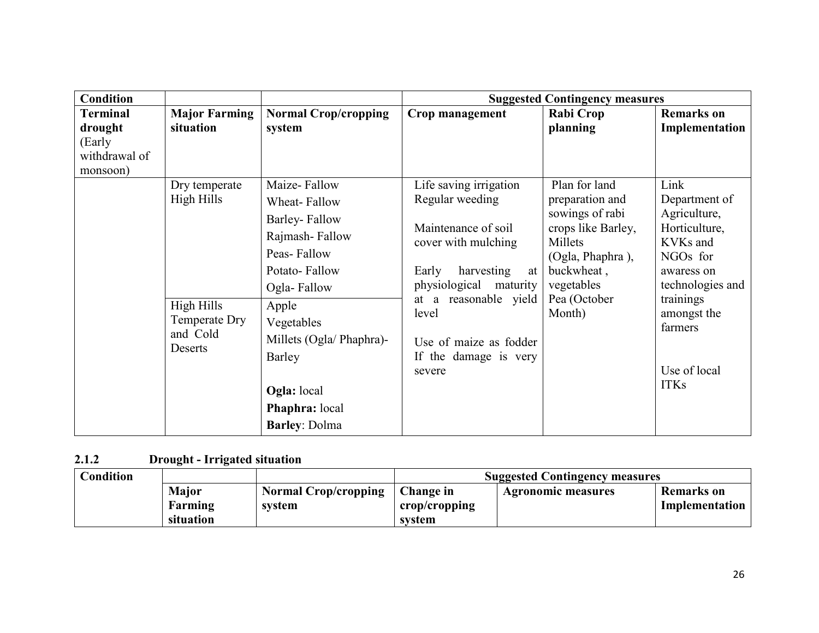| <b>Condition</b> |                      |                             |                                            | <b>Suggested Contingency measures</b> |                           |
|------------------|----------------------|-----------------------------|--------------------------------------------|---------------------------------------|---------------------------|
| <b>Terminal</b>  | <b>Major Farming</b> | <b>Normal Crop/cropping</b> | Crop management                            | Rabi Crop                             | <b>Remarks</b> on         |
| drought          | situation            | system                      |                                            | planning                              | Implementation            |
| (Early           |                      |                             |                                            |                                       |                           |
| withdrawal of    |                      |                             |                                            |                                       |                           |
| monsoon)         |                      |                             |                                            |                                       | Link                      |
|                  | Dry temperate        | Maize-Fallow                | Life saving irrigation                     | Plan for land                         |                           |
|                  | High Hills           | Wheat-Fallow                | Regular weeding                            | preparation and                       | Department of             |
|                  |                      | Barley-Fallow               |                                            | sowings of rabi                       | Agriculture,              |
|                  |                      | Rajmash-Fallow              | Maintenance of soil<br>cover with mulching | crops like Barley,<br>Millets         | Horticulture,<br>KVKs and |
|                  |                      | Peas-Fallow                 |                                            | (Ogla, Phaphra),                      | NGOs for                  |
|                  |                      | Potato-Fallow               | Early<br>harvesting<br>at                  | buckwheat,                            | awaress on                |
|                  |                      | Ogla-Fallow                 | physiological<br>maturity                  | vegetables                            | technologies and          |
|                  | High Hills           | Apple                       | at a reasonable yield                      | Pea (October                          | trainings                 |
|                  | Temperate Dry        | Vegetables                  | level                                      | Month)                                | amongst the               |
|                  | and Cold             | Millets (Ogla/ Phaphra)-    |                                            |                                       | farmers                   |
|                  | Deserts              |                             | Use of maize as fodder                     |                                       |                           |
|                  |                      | Barley                      | If the damage is very                      |                                       |                           |
|                  |                      |                             | severe                                     |                                       | Use of local              |
|                  |                      | <b>Ogla:</b> local          |                                            |                                       | <b>ITKs</b>               |
|                  |                      | Phaphra: local              |                                            |                                       |                           |
|                  |                      | <b>Barley: Dolma</b>        |                                            |                                       |                           |

#### 2.1.2 Drought - Irrigated situation

| <b>Condition</b> |              |                             | <b>Suggested Contingency measures</b> |                    |                |  |  |
|------------------|--------------|-----------------------------|---------------------------------------|--------------------|----------------|--|--|
|                  | <b>Major</b> | <b>Normal Crop/cropping</b> | Change in                             | Agronomic measures | Remarks on     |  |  |
|                  | Farming      | system                      | crop/cropping                         |                    | Implementation |  |  |
|                  | situation    |                             | system                                |                    |                |  |  |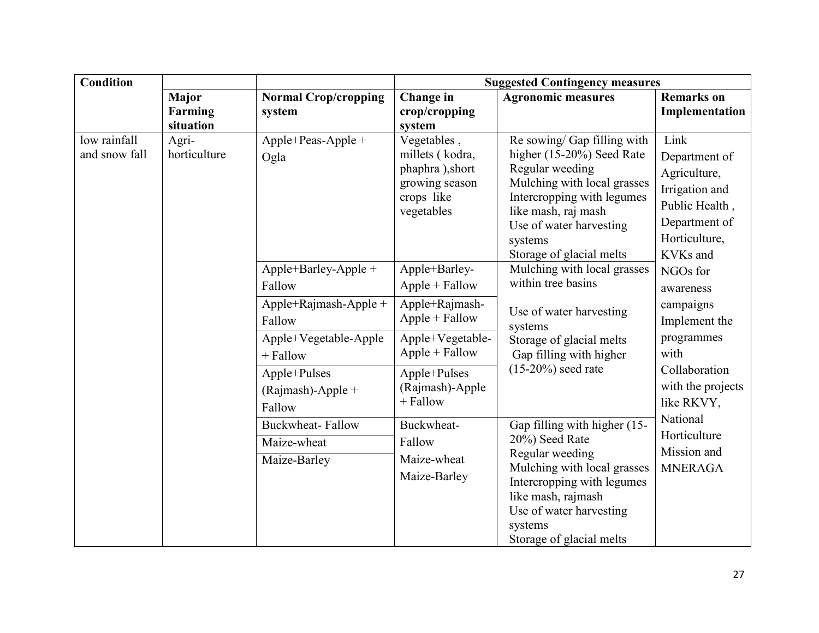| <b>Condition</b>              |                                                                                                                     |                                                     | <b>Suggested Contingency measures</b>                                                                                                                                                                                  |                                                                                                                                                                                                                                   |                                                                                                                         |  |
|-------------------------------|---------------------------------------------------------------------------------------------------------------------|-----------------------------------------------------|------------------------------------------------------------------------------------------------------------------------------------------------------------------------------------------------------------------------|-----------------------------------------------------------------------------------------------------------------------------------------------------------------------------------------------------------------------------------|-------------------------------------------------------------------------------------------------------------------------|--|
|                               | <b>Major</b>                                                                                                        | <b>Normal Crop/cropping</b>                         | Change in                                                                                                                                                                                                              | <b>Agronomic measures</b>                                                                                                                                                                                                         | <b>Remarks</b> on                                                                                                       |  |
|                               | <b>Farming</b>                                                                                                      | system                                              | crop/cropping                                                                                                                                                                                                          |                                                                                                                                                                                                                                   | Implementation                                                                                                          |  |
|                               | situation                                                                                                           |                                                     | system                                                                                                                                                                                                                 |                                                                                                                                                                                                                                   |                                                                                                                         |  |
| low rainfall<br>and snow fall | Agri-<br>horticulture                                                                                               | Apple+Peas-Apple +<br>Ogla                          | Vegetables,<br>millets (kodra,<br>phaphra), short<br>growing season<br>crops like<br>vegetables                                                                                                                        | Re sowing/ Gap filling with<br>higher (15-20%) Seed Rate<br>Regular weeding<br>Mulching with local grasses<br>Intercropping with legumes<br>like mash, raj mash<br>Use of water harvesting<br>systems<br>Storage of glacial melts | Link<br>Department of<br>Agriculture,<br>Irrigation and<br>Public Health,<br>Department of<br>Horticulture,<br>KVKs and |  |
|                               |                                                                                                                     | $Apple+Barley-Apple +$<br>Fallow                    | Apple+Barley-<br>$Apple + Fallow$                                                                                                                                                                                      | Mulching with local grasses<br>within tree basins                                                                                                                                                                                 | NGOs for<br>awareness                                                                                                   |  |
|                               |                                                                                                                     | Apple+Rajmash-Apple +<br>Fallow                     | Apple+Rajmash-<br>$Apple + Fallow$                                                                                                                                                                                     | Use of water harvesting<br>systems                                                                                                                                                                                                | campaigns<br>Implement the                                                                                              |  |
|                               |                                                                                                                     | Apple+Vegetable-Apple<br>+ Fallow                   | Apple+Vegetable-<br>$Apple + Fallow$                                                                                                                                                                                   | Storage of glacial melts<br>Gap filling with higher                                                                                                                                                                               | programmes<br>with                                                                                                      |  |
|                               | $(15-20\%)$ seed rate<br>Apple+Pulses<br>Apple+Pulses<br>(Rajmash)-Apple<br>(Rajmash)-Apple +<br>+ Fallow<br>Fallow |                                                     | Collaboration<br>with the projects<br>like RKVY,                                                                                                                                                                       |                                                                                                                                                                                                                                   |                                                                                                                         |  |
|                               | <b>Buckwheat-Fallow</b><br>Maize-wheat<br>Maize-Barley                                                              | Buckwheat-<br>Fallow<br>Maize-wheat<br>Maize-Barley | Gap filling with higher (15-<br>20%) Seed Rate<br>Regular weeding<br>Mulching with local grasses<br>Intercropping with legumes<br>like mash, rajmash<br>Use of water harvesting<br>systems<br>Storage of glacial melts | National<br>Horticulture<br>Mission and<br><b>MNERAGA</b>                                                                                                                                                                         |                                                                                                                         |  |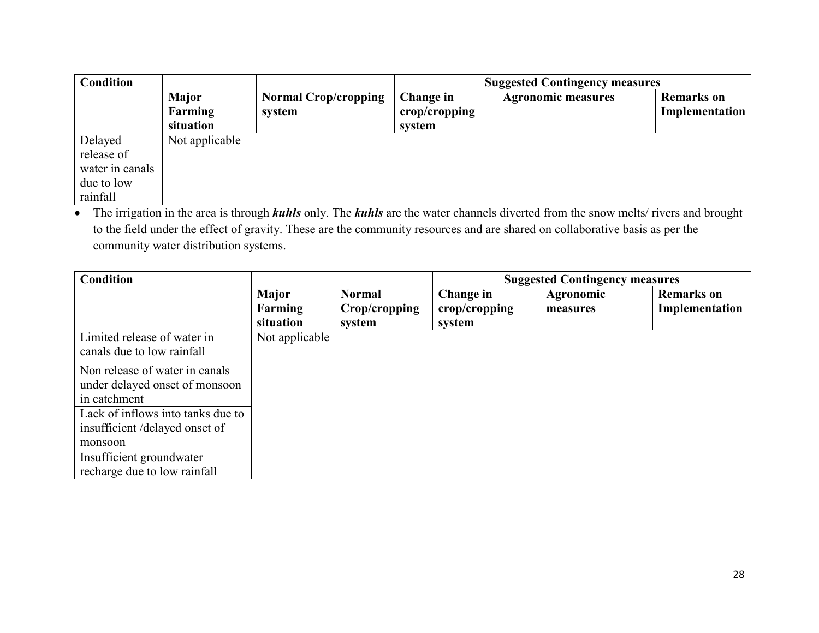| <b>Condition</b> |                                      |                                       | <b>Suggested Contingency measures</b>            |                           |                                     |
|------------------|--------------------------------------|---------------------------------------|--------------------------------------------------|---------------------------|-------------------------------------|
|                  | <b>Major</b><br>Farming<br>situation | <b>Normal Crop/cropping</b><br>system | Change in<br>$\mathbf{crop/c}$ ropping<br>system | <b>Agronomic measures</b> | <b>Remarks</b> on<br>Implementation |
| Delayed          | Not applicable                       |                                       |                                                  |                           |                                     |
| release of       |                                      |                                       |                                                  |                           |                                     |
| water in canals  |                                      |                                       |                                                  |                           |                                     |
| due to low       |                                      |                                       |                                                  |                           |                                     |
| rainfall         |                                      |                                       |                                                  |                           |                                     |

• The irrigation in the area is through *kuhls* only. The *kuhls* are the water channels diverted from the snow melts/ rivers and brought to the field under the effect of gravity. These are the community resources and are shared on collaborative basis as per the community water distribution systems.

| <b>Condition</b>                  |                |               |               | <b>Suggested Contingency measures</b> |                   |
|-----------------------------------|----------------|---------------|---------------|---------------------------------------|-------------------|
|                                   | <b>Major</b>   | <b>Normal</b> | Change in     | Agronomic                             | <b>Remarks</b> on |
|                                   | Farming        | Crop/cropping | crop/cropping | measures                              | Implementation    |
|                                   | situation      | system        | system        |                                       |                   |
| Limited release of water in       | Not applicable |               |               |                                       |                   |
| canals due to low rainfall        |                |               |               |                                       |                   |
| Non release of water in canals    |                |               |               |                                       |                   |
| under delayed onset of monsoon    |                |               |               |                                       |                   |
| in catchment                      |                |               |               |                                       |                   |
| Lack of inflows into tanks due to |                |               |               |                                       |                   |
| insufficient/delayed onset of     |                |               |               |                                       |                   |
| monsoon                           |                |               |               |                                       |                   |
| Insufficient groundwater          |                |               |               |                                       |                   |
| recharge due to low rainfall      |                |               |               |                                       |                   |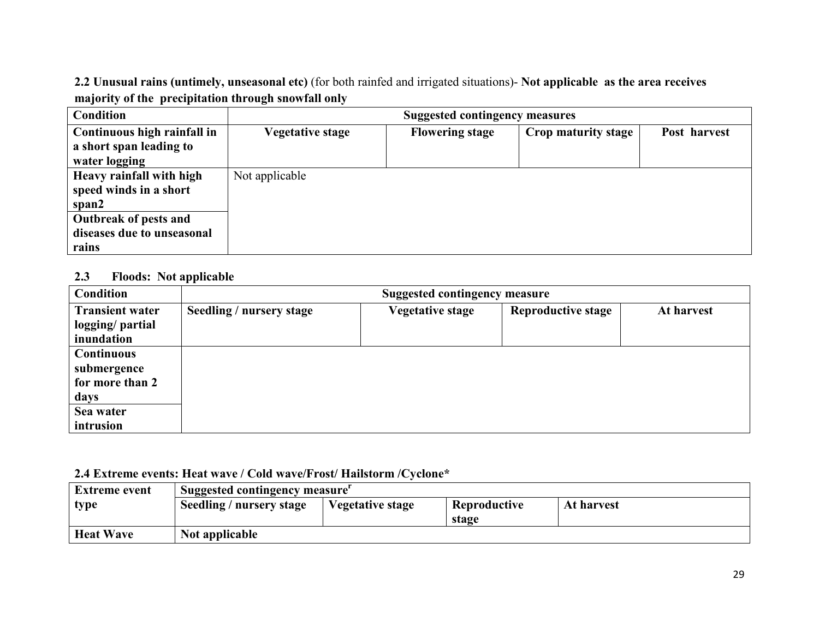2.2 Unusual rains (untimely, unseasonal etc) (for both rainfed and irrigated situations)- Not applicable as the area receives majority of the precipitation through snowfall only

| <b>Condition</b>            | <b>Suggested contingency measures</b> |                        |                            |              |  |
|-----------------------------|---------------------------------------|------------------------|----------------------------|--------------|--|
| Continuous high rainfall in | <b>Vegetative stage</b>               | <b>Flowering stage</b> | <b>Crop maturity stage</b> | Post harvest |  |
| a short span leading to     |                                       |                        |                            |              |  |
| water logging               |                                       |                        |                            |              |  |
| Heavy rainfall with high    | Not applicable                        |                        |                            |              |  |
| speed winds in a short      |                                       |                        |                            |              |  |
| span2                       |                                       |                        |                            |              |  |
| Outbreak of pests and       |                                       |                        |                            |              |  |
| diseases due to unseasonal  |                                       |                        |                            |              |  |
| rains                       |                                       |                        |                            |              |  |

#### 2.3 Floods: Not applicable

| <b>Condition</b>                                    | <b>Suggested contingency measure</b> |                         |                           |            |  |  |
|-----------------------------------------------------|--------------------------------------|-------------------------|---------------------------|------------|--|--|
| <b>Transient water</b><br>logging/ partial          | Seedling / nursery stage             | <b>Vegetative stage</b> | <b>Reproductive stage</b> | At harvest |  |  |
| inundation                                          |                                      |                         |                           |            |  |  |
| <b>Continuous</b><br>submergence<br>for more than 2 |                                      |                         |                           |            |  |  |
| days                                                |                                      |                         |                           |            |  |  |
| Sea water                                           |                                      |                         |                           |            |  |  |
| intrusion                                           |                                      |                         |                           |            |  |  |

### 2.4 Extreme events: Heat wave / Cold wave/Frost/ Hailstorm /Cyclone\*

| <b>Extreme event</b> | Suggested contingency measure |                         |                       |            |
|----------------------|-------------------------------|-------------------------|-----------------------|------------|
| type                 | Seedling / nursery stage      | <b>Vegetative stage</b> | Reproductive<br>stage | At harvest |
| <b>Heat Wave</b>     | Not applicable                |                         |                       |            |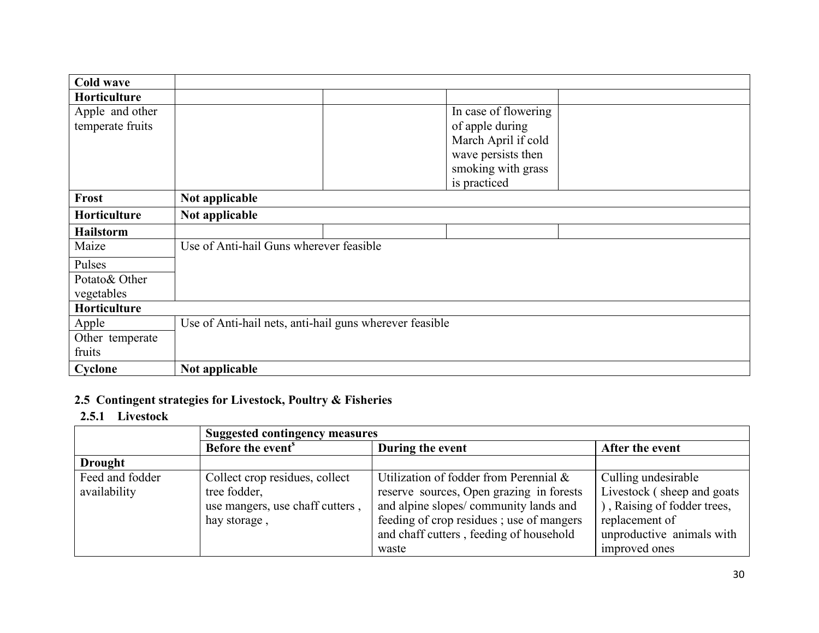| <b>Cold wave</b> |                                                         |  |                      |  |
|------------------|---------------------------------------------------------|--|----------------------|--|
| Horticulture     |                                                         |  |                      |  |
| Apple and other  |                                                         |  | In case of flowering |  |
| temperate fruits |                                                         |  | of apple during      |  |
|                  |                                                         |  | March April if cold  |  |
|                  |                                                         |  | wave persists then   |  |
|                  |                                                         |  | smoking with grass   |  |
|                  |                                                         |  | is practiced         |  |
| Frost            | Not applicable                                          |  |                      |  |
| Horticulture     | Not applicable                                          |  |                      |  |
| <b>Hailstorm</b> |                                                         |  |                      |  |
| Maize            | Use of Anti-hail Guns wherever feasible                 |  |                      |  |
| Pulses           |                                                         |  |                      |  |
| Potato& Other    |                                                         |  |                      |  |
| vegetables       |                                                         |  |                      |  |
| Horticulture     |                                                         |  |                      |  |
| Apple            | Use of Anti-hail nets, anti-hail guns wherever feasible |  |                      |  |
| Other temperate  |                                                         |  |                      |  |
| fruits           |                                                         |  |                      |  |
| Cyclone          | Not applicable                                          |  |                      |  |

# 2.5 Contingent strategies for Livestock, Poultry & Fisheries

# 2.5.1 Livestock

|                 | <b>Suggested contingency measures</b> |                                          |                             |  |
|-----------------|---------------------------------------|------------------------------------------|-----------------------------|--|
|                 | Before the event <sup>s</sup>         | During the event                         | After the event             |  |
| <b>Drought</b>  |                                       |                                          |                             |  |
| Feed and fodder | Collect crop residues, collect        | Utilization of fodder from Perennial &   | Culling undesirable         |  |
| availability    | tree fodder,                          | reserve sources, Open grazing in forests | Livestock (sheep and goats) |  |
|                 | use mangers, use chaff cutters,       | and alpine slopes/community lands and    | ), Raising of fodder trees, |  |
|                 | hay storage,                          | feeding of crop residues; use of mangers | replacement of              |  |
|                 |                                       | and chaff cutters, feeding of household  | unproductive animals with   |  |
|                 |                                       | waste                                    | improved ones               |  |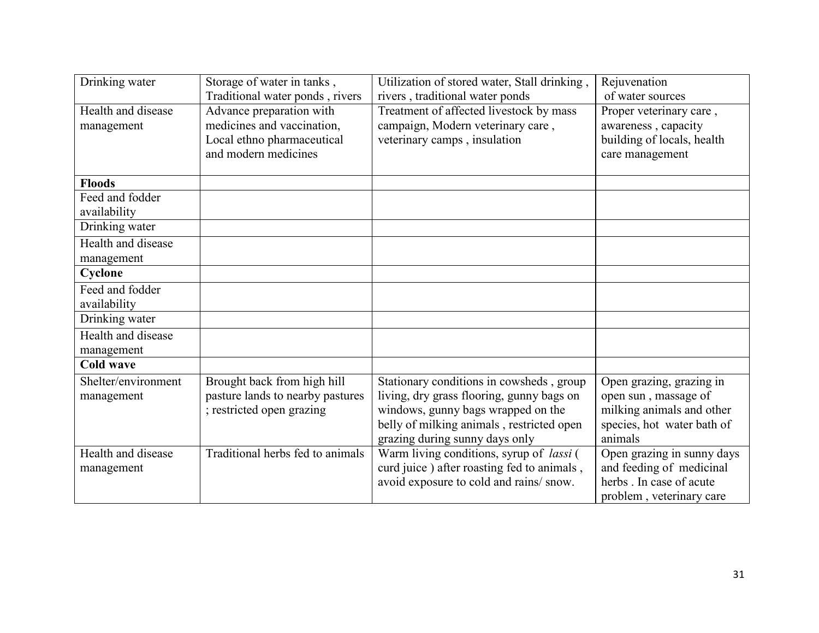| Drinking water      | Storage of water in tanks,       | Utilization of stored water, Stall drinking,    | Rejuvenation               |
|---------------------|----------------------------------|-------------------------------------------------|----------------------------|
|                     | Traditional water ponds, rivers  | rivers, traditional water ponds                 | of water sources           |
| Health and disease  | Advance preparation with         | Treatment of affected livestock by mass         | Proper veterinary care,    |
| management          | medicines and vaccination,       | campaign, Modern veterinary care,               | awareness, capacity        |
|                     | Local ethno pharmaceutical       | veterinary camps, insulation                    | building of locals, health |
|                     | and modern medicines             |                                                 | care management            |
|                     |                                  |                                                 |                            |
| <b>Floods</b>       |                                  |                                                 |                            |
| Feed and fodder     |                                  |                                                 |                            |
| availability        |                                  |                                                 |                            |
| Drinking water      |                                  |                                                 |                            |
| Health and disease  |                                  |                                                 |                            |
| management          |                                  |                                                 |                            |
| Cyclone             |                                  |                                                 |                            |
| Feed and fodder     |                                  |                                                 |                            |
| availability        |                                  |                                                 |                            |
| Drinking water      |                                  |                                                 |                            |
| Health and disease  |                                  |                                                 |                            |
| management          |                                  |                                                 |                            |
| <b>Cold wave</b>    |                                  |                                                 |                            |
| Shelter/environment | Brought back from high hill      | Stationary conditions in cowsheds, group        | Open grazing, grazing in   |
| management          | pasture lands to nearby pastures | living, dry grass flooring, gunny bags on       | open sun, massage of       |
|                     | ; restricted open grazing        | windows, gunny bags wrapped on the              | milking animals and other  |
|                     |                                  | belly of milking animals, restricted open       | species, hot water bath of |
|                     |                                  | grazing during sunny days only                  | animals                    |
| Health and disease  | Traditional herbs fed to animals | Warm living conditions, syrup of <i>lassi</i> ( | Open grazing in sunny days |
| management          |                                  | curd juice) after roasting fed to animals,      | and feeding of medicinal   |
|                     |                                  | avoid exposure to cold and rains/ snow.         | herbs. In case of acute    |
|                     |                                  |                                                 | problem, veterinary care   |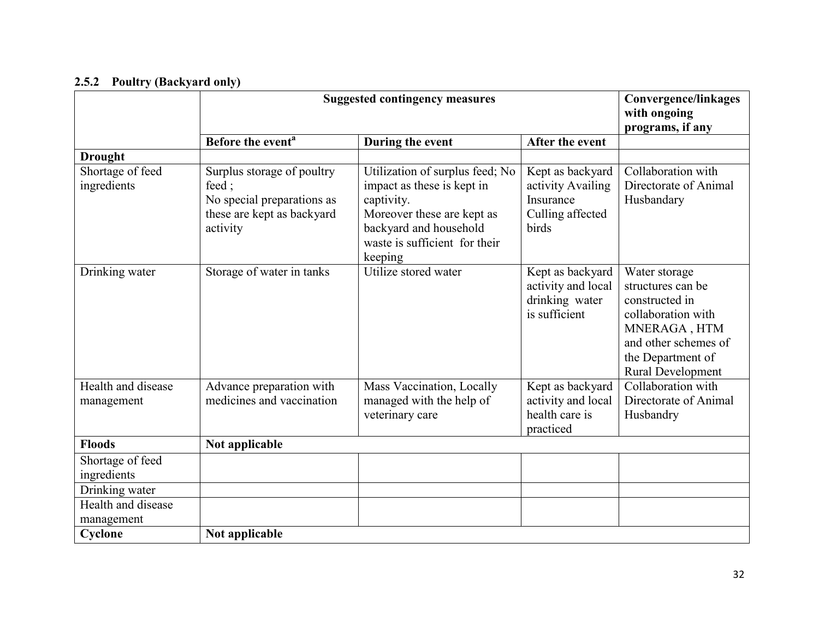## 2.5.2 Poultry (Backyard only)

|                                                                                       | <b>Suggested contingency measures</b>                                                                       |                                                                                                                                                                                 |                                                                                 | <b>Convergence/linkages</b><br>with ongoing<br>programs, if any                                                                                              |
|---------------------------------------------------------------------------------------|-------------------------------------------------------------------------------------------------------------|---------------------------------------------------------------------------------------------------------------------------------------------------------------------------------|---------------------------------------------------------------------------------|--------------------------------------------------------------------------------------------------------------------------------------------------------------|
|                                                                                       | Before the event <sup>a</sup>                                                                               | During the event                                                                                                                                                                | After the event                                                                 |                                                                                                                                                              |
| <b>Drought</b>                                                                        |                                                                                                             |                                                                                                                                                                                 |                                                                                 |                                                                                                                                                              |
| Shortage of feed<br>ingredients                                                       | Surplus storage of poultry<br>feed;<br>No special preparations as<br>these are kept as backyard<br>activity | Utilization of surplus feed; No<br>impact as these is kept in<br>captivity.<br>Moreover these are kept as<br>backyard and household<br>waste is sufficient for their<br>keeping | Kept as backyard<br>activity Availing<br>Insurance<br>Culling affected<br>birds | Collaboration with<br>Directorate of Animal<br>Husbandary                                                                                                    |
| Drinking water                                                                        | Storage of water in tanks                                                                                   | Utilize stored water                                                                                                                                                            | Kept as backyard<br>activity and local<br>drinking water<br>is sufficient       | Water storage<br>structures can be<br>constructed in<br>collaboration with<br>MNERAGA, HTM<br>and other schemes of<br>the Department of<br>Rural Development |
| Health and disease<br>management                                                      | Advance preparation with<br>medicines and vaccination                                                       | Mass Vaccination, Locally<br>managed with the help of<br>veterinary care                                                                                                        | Kept as backyard<br>activity and local<br>health care is<br>practiced           | Collaboration with<br>Directorate of Animal<br>Husbandry                                                                                                     |
| <b>Floods</b>                                                                         | Not applicable                                                                                              |                                                                                                                                                                                 |                                                                                 |                                                                                                                                                              |
| Shortage of feed<br>ingredients<br>Drinking water<br>Health and disease<br>management |                                                                                                             |                                                                                                                                                                                 |                                                                                 |                                                                                                                                                              |
| Cyclone                                                                               | Not applicable                                                                                              |                                                                                                                                                                                 |                                                                                 |                                                                                                                                                              |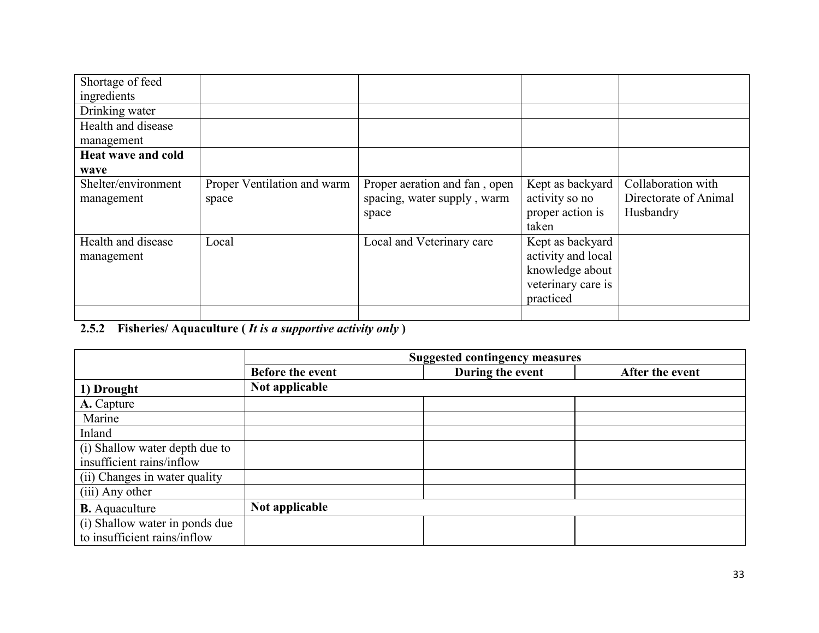| Shortage of feed    |                             |                               |                    |                       |
|---------------------|-----------------------------|-------------------------------|--------------------|-----------------------|
| ingredients         |                             |                               |                    |                       |
| Drinking water      |                             |                               |                    |                       |
| Health and disease  |                             |                               |                    |                       |
| management          |                             |                               |                    |                       |
| Heat wave and cold  |                             |                               |                    |                       |
| wave                |                             |                               |                    |                       |
| Shelter/environment | Proper Ventilation and warm | Proper aeration and fan, open | Kept as backyard   | Collaboration with    |
| management          | space                       | spacing, water supply, warm   | activity so no     | Directorate of Animal |
|                     |                             | space                         | proper action is   | Husbandry             |
|                     |                             |                               | taken              |                       |
| Health and disease  | Local                       | Local and Veterinary care     | Kept as backyard   |                       |
| management          |                             |                               | activity and local |                       |
|                     |                             |                               | knowledge about    |                       |
|                     |                             |                               | veterinary care is |                       |
|                     |                             |                               | practiced          |                       |
|                     |                             |                               |                    |                       |

# 2.5.2 Fisheries/ Aquaculture (*It is a supportive activity only*)

|                                | <b>Suggested contingency measures</b> |                  |                 |  |  |
|--------------------------------|---------------------------------------|------------------|-----------------|--|--|
|                                | <b>Before the event</b>               | During the event | After the event |  |  |
| 1) Drought                     | Not applicable                        |                  |                 |  |  |
| A. Capture                     |                                       |                  |                 |  |  |
| Marine                         |                                       |                  |                 |  |  |
| Inland                         |                                       |                  |                 |  |  |
| (i) Shallow water depth due to |                                       |                  |                 |  |  |
| insufficient rains/inflow      |                                       |                  |                 |  |  |
| (ii) Changes in water quality  |                                       |                  |                 |  |  |
| (iii) Any other                |                                       |                  |                 |  |  |
| <b>B.</b> Aquaculture          | Not applicable                        |                  |                 |  |  |
| (i) Shallow water in ponds due |                                       |                  |                 |  |  |
| to insufficient rains/inflow   |                                       |                  |                 |  |  |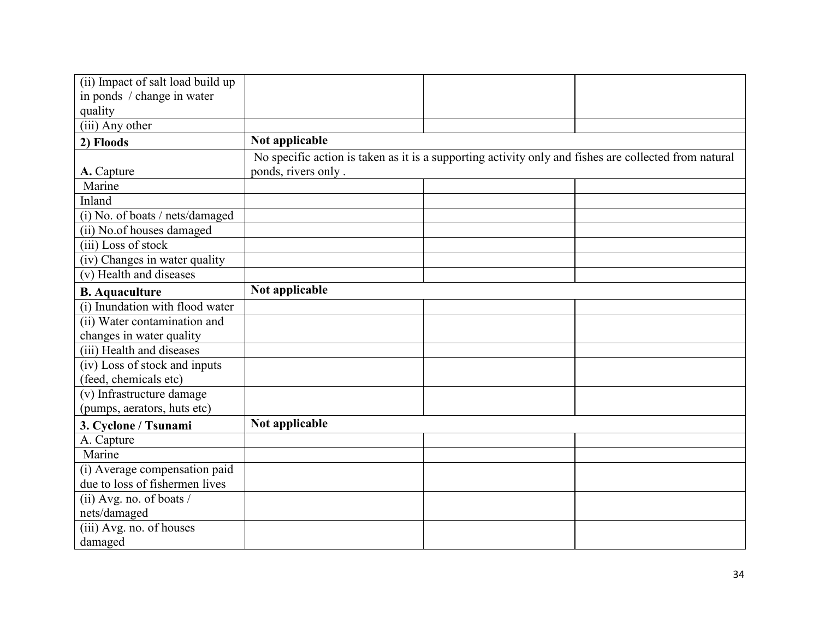| (ii) Impact of salt load build up |                                                                                                       |  |  |
|-----------------------------------|-------------------------------------------------------------------------------------------------------|--|--|
| in ponds / change in water        |                                                                                                       |  |  |
| quality                           |                                                                                                       |  |  |
| (iii) Any other                   |                                                                                                       |  |  |
| 2) Floods                         | Not applicable                                                                                        |  |  |
|                                   | No specific action is taken as it is a supporting activity only and fishes are collected from natural |  |  |
| A. Capture                        | ponds, rivers only.                                                                                   |  |  |
| Marine                            |                                                                                                       |  |  |
| Inland                            |                                                                                                       |  |  |
| (i) No. of boats / nets/damaged   |                                                                                                       |  |  |
| (ii) No.of houses damaged         |                                                                                                       |  |  |
| (iii) Loss of stock               |                                                                                                       |  |  |
| (iv) Changes in water quality     |                                                                                                       |  |  |
| (v) Health and diseases           |                                                                                                       |  |  |
| <b>B.</b> Aquaculture             | Not applicable                                                                                        |  |  |
| (i) Inundation with flood water   |                                                                                                       |  |  |
| (ii) Water contamination and      |                                                                                                       |  |  |
| changes in water quality          |                                                                                                       |  |  |
| (iii) Health and diseases         |                                                                                                       |  |  |
| (iv) Loss of stock and inputs     |                                                                                                       |  |  |
| (feed, chemicals etc)             |                                                                                                       |  |  |
| (v) Infrastructure damage         |                                                                                                       |  |  |
| (pumps, aerators, huts etc)       |                                                                                                       |  |  |
| 3. Cyclone / Tsunami              | Not applicable                                                                                        |  |  |
| A. Capture                        |                                                                                                       |  |  |
| Marine                            |                                                                                                       |  |  |
| (i) Average compensation paid     |                                                                                                       |  |  |
| due to loss of fishermen lives    |                                                                                                       |  |  |
| (ii) Avg. no. of boats /          |                                                                                                       |  |  |
| nets/damaged                      |                                                                                                       |  |  |
| (iii) Avg. no. of houses          |                                                                                                       |  |  |
| damaged                           |                                                                                                       |  |  |